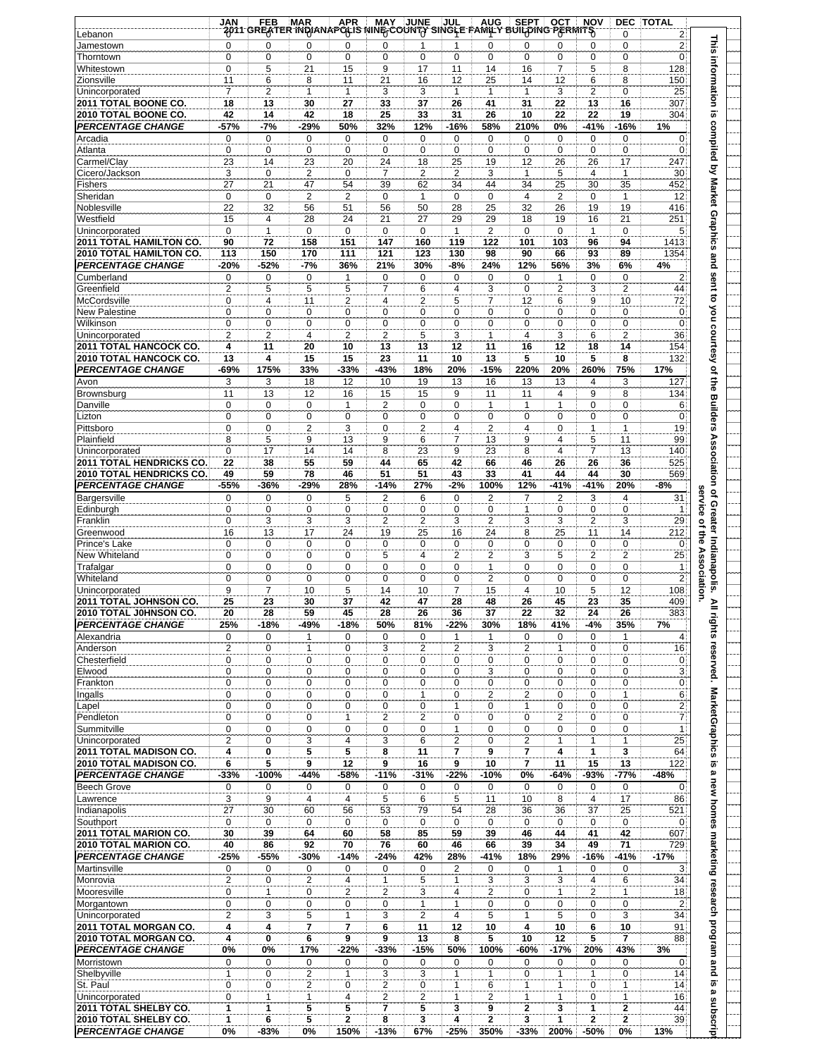| <b>This</b><br>2 <sup>1</sup><br>0<br>0<br>$\mathbf 0$<br>0<br>$\Omega$<br>0<br>0<br>$\mathbf{1}$<br>$\mathbf{1}$<br>$\Omega$<br>0<br>0<br>Jamestown<br>$\mathbf{0}$<br>0<br>0<br>$\mathbf 0$<br>$\mathbf 0$<br>0<br>0<br>$\mathbf 0$<br>0<br>Thorntown<br>0<br>0<br>$\Omega$<br>0<br>information is<br>$\overline{7}$<br>0<br>5<br>21<br>15<br>9<br>17<br>11<br>14<br>16<br>5<br>8<br>128<br>Whitestown<br>11<br>6<br>8<br>11<br>21<br>16<br>12<br>25<br>14<br>12<br>6<br>8<br>150<br>Zionsville<br>$\overline{7}$<br>$\overline{c}$<br>3<br>3<br>$\overline{2}$<br>$\mathbf{1}$<br>3<br>0<br>25<br>Unincorporated<br>1<br>1<br>1<br>$\mathbf{1}$<br>27<br>33<br><b>2011 TOTAL BOONE CO.</b><br>18<br>13<br>30<br>37<br>26<br>41<br>31<br>22<br>13<br>16<br>307<br>2010 TOTAL BOONE CO.<br>42<br>42<br>18<br>25<br>33<br>31<br>26<br>22<br>22<br>19<br>14<br>10<br>304<br>compiled by Market Graphics and<br>$-7%$<br>32%<br>58%<br>$-16%$<br><b>PERCENTAGE CHANGE</b><br>-57%<br>-29%<br>50%<br>12%<br>$-16%$<br>210%<br>0%<br>-41%<br>1%<br>$\mathbf 0$<br>$\mathbf 0$<br>$\mathbf 0$<br>$\mathbf 0$<br>$\mathbf 0$<br>0<br>$\mathbf{0}$<br>Arcadia<br>0<br>0<br>0<br>0<br>0<br>0<br>$\overline{0}$<br>$\overline{0}$<br>$\pmb{0}$<br>$\mathbf 0$<br>$\mathbf 0$<br>$\mathbf 0$<br>$\mathbf 0$<br>$\pmb{0}$<br>0<br>$\mathbf{0}$<br>0<br>0<br>$\mathbf 0$<br>Atlanta<br>23<br>23<br>20<br>18<br>25<br>19<br>12<br>26<br>26<br>17<br>247<br>Carmel/Clay<br>14<br>24<br>$\boldsymbol{2}$<br>3<br>5<br>3<br>0<br>$\overline{\mathbf{c}}$<br>$\mathbf 0$<br>$\overline{7}$<br>$\overline{2}$<br>4<br>30<br>Cicero/Jackson<br>1<br>1<br>27<br>21<br>47<br>54<br>39<br>62<br>34<br>44<br>34<br>25<br>30<br>35<br>452<br><b>Fishers</b><br>$\overline{2}$<br>2<br>0<br>2<br>Sheridan<br>0<br>0<br>0<br>$\mathbf{1}$<br>0<br>4<br>0<br>$\mathbf{1}$<br>12<br>22<br>32<br>25<br>19<br>Noblesville<br>56<br>51<br>56<br>50<br>28<br>32<br>26<br>19<br>416<br>21<br>Westfield<br>15<br>28<br>24<br>21<br>27<br>29<br>29<br>19<br>16<br>4<br>18<br>251<br>$\mathbf 0$<br>1<br>$\mathbf 0$<br>$\mathbf 0$<br>$\mathbf 0$<br>0<br>$\mathbf{1}$<br>$\overline{2}$<br>$\mathbf 0$<br>0<br>$\mathbf{1}$<br>$\mathbf 0$<br>5 <sup>1</sup><br>Unincorporated<br>2011 TOTAL HAMILTON CO.<br>90<br>72<br>158<br>151<br>147<br>160<br>119<br>122<br>101<br>103<br>96<br>94<br>1413<br>93<br>2010 TOTAL HAMILTON CO.<br>113<br>150<br>170<br>111<br>121<br>98<br>90<br>66<br>89<br>123<br>130<br>1354<br>$-52%$<br>$-7%$<br>36%<br>-8%<br>24%<br>12%<br>56%<br>6%<br><b>PERCENTAGE CHANGE</b><br>$-20%$<br>21%<br>30%<br>3%<br>4%<br>sent to you courtesy of the Builders<br>0<br>$\mathbf 0$<br>0<br>0<br>$\mathbf 0$<br>$\mathbf 0$<br>0<br>$2\sqrt{ }$<br>Cumberland<br>0<br>1<br>0<br>0<br>1<br>5<br>$\overline{2}$<br>$\overline{2}$<br>$\overline{2}$<br>5<br>5<br>$\overline{7}$<br>6<br>4<br>3<br>$\mathbf 0$<br>3<br>44<br>Greenfield<br>$\overline{2}$<br>$\overline{2}$<br>5<br>10<br>$\mathbf 0$<br>$\overline{4}$<br>11<br>$\overline{4}$<br>$\overline{7}$<br>12<br>6<br>9<br>72<br>McCordsville<br>0<br>0<br>$\mathbf 0$<br>$\mathbf{0}$<br><b>New Palestine</b><br>0<br>0<br>0<br>0<br>0<br>0<br>0<br>0<br>0<br>$\mathbf 0$<br>$\mathbf 0$<br>0<br>$\mathbf 0$<br>0<br>$\mathbf 0$<br>0<br>$\mathbf 0$<br>$\mathbf 0$<br>0<br>0<br>Wilkinson<br>0<br>$\mathbf 0$<br>$\overline{2}$<br>$\overline{2}$<br>$\overline{2}$<br>5<br>3<br>3<br>$\overline{2}$<br>$\overline{2}$<br>$\overline{4}$<br>1<br>4<br>6<br>36<br>Unincorporated<br>2011 TOTAL HANCOCK CO.<br>4<br>11<br>20<br>10<br>13<br>13<br>12<br>11<br>16<br>12<br>18<br>14<br>154<br>5<br>5<br>13<br>15<br>15<br>23<br>11<br>10<br>13<br>10<br>8<br>2010 TOTAL HANCOCK CO.<br>4<br>132<br>175%<br>33%<br>-33%<br>$-43%$<br>$-15%$<br>220%<br>20%<br>260%<br>75%<br><b>PERCENTAGE CHANGE</b><br>-69%<br>18%<br>20%<br>17%<br>3<br>18<br>12<br>16<br>3<br>10<br>19<br>13<br>13<br>13<br>$\overline{4}$<br>3<br>127<br>Avon<br>8<br>13<br>12<br>16<br>15<br>15<br>9<br>11<br>4<br>9<br>134<br>Brownsburg<br>11<br>11<br>$\mathbf 0$<br>$\mathbf 0$<br>$\mathbf 0$<br>$\mathbf{1}$<br>2<br>0<br>$\mathbf 0$<br>1<br>0<br>0<br>6 <sup>3</sup><br>Danville<br>$\mathbf{1}$<br>$\mathbf{1}$<br>$\mathbf 0$<br>0<br>$\mathbf 0$<br>0<br>$\mathbf 0$<br>$\mathbf 0$<br>$\mathbf 0$<br>0<br>$\mathbf 0$<br>$\pmb{0}$<br>$\mathbf{0}$<br>Lizton<br>0<br>0<br>$\overline{3}$<br>$\overline{2}$<br>$\boldsymbol{2}$<br>0<br>$\overline{2}$<br>$\mathbf 0$<br>0<br>4<br>$\mathbf{1}$<br>Pittsboro<br>0<br>4<br>1<br>19<br><b>Association</b><br>8<br>5<br>13<br>9<br>6<br>7<br>13<br>9<br>4<br>5<br>99<br>9<br>11<br>Plainfield<br>0<br>17<br>14<br>14<br>8<br>23<br>9<br>23<br>8<br>4<br>$\overline{7}$<br>13<br>140<br>Unincorporated<br>38<br>55<br>59<br>42<br>36<br><b>2011 TOTAL HENDRICKS CO</b><br>22<br>44<br>65<br>66<br>46<br>26<br>26<br>525<br>59<br>78<br>51<br>51<br>33<br>30<br>2010 TOTAL HENDRICKS CO.<br>49<br>46<br>43<br>41<br>44<br>44<br>569<br>$-36%$<br>28%<br>$-14%$<br>27%<br>$-2%$<br>100%<br>12%<br>$-41%$<br>$-41%$<br>20%<br><b>PERCENTAGE CHANGE</b><br>-55%<br>-29%<br>$-8%$<br>service of the Association.<br>of Greater Indianapolis.<br>$\mathbf 0$<br>0<br>$\mathbf 0$<br>5<br>2<br>6<br>$\mathbf 0$<br>2<br>2<br>3<br>4<br>31<br>Bargersville<br>7<br>$\pmb{0}$<br>$\mathbf 0$<br>0<br>0<br>$\mathbf 0$<br>$\mathbf 0$<br>$\mathbf 0$<br>$\mathbf 0$<br>$\mathbf 0$<br>0<br>$\mathbf 0$<br>Edinburgh<br>$\mathbf{1}$<br>$\mathbf{1}$<br>3<br>3<br>3<br>$\overline{2}$<br>$\overline{2}$<br>3<br>2<br>3<br>3<br>$\overline{2}$<br>3<br>29<br>Franklin<br>0<br>13<br>24<br>25<br>16<br>24<br>8<br>25<br>11<br>14<br>16<br>17<br>19<br>212<br>Greenwood<br>0<br>0<br>$\mathbf 0$<br>0<br>0<br>$\mathbf 0$<br>0<br>$\mathbf 0$<br>0<br>Prince's Lake<br>0<br>0<br>0<br>0<br>$\overline{\mathbf{c}}$<br>5<br>$\overline{2}$<br>$\overline{2}$<br>25<br>New Whiteland<br>0<br>0<br>$\mathbf 0$<br>$\mathbf 0$<br>5<br>$\overline{4}$<br>2<br>3<br>0<br>0<br>$\mathbf 0$<br>$\mathbf 0$<br>0<br>$\mathbf 0$<br>$\mathbf 0$<br>$\mathbf{1}$<br>$\mathbf 0$<br>0<br>$\mathbf 0$<br>0<br>$\mathbf{1}$<br>Trafalgar<br>$\overline{2}$<br>0<br>0<br>2<br>0<br>0<br>0<br>Whiteland<br>0<br>0<br>0<br>0<br>0<br>0<br>9<br>$\overline{7}$<br>5<br>$\overline{7}$<br>10<br>5<br>12<br>10<br>14<br>10<br>15<br>4<br>108<br>Unincorporated<br>25<br>30<br>37<br>42<br>47<br>45<br>23<br>2011 TOTAL JOHNSON CO.<br>23<br>28<br>48<br>26<br>35<br>409<br>≧<br>28<br>59<br>32<br>2010 TOTAL JOHNSON CO.<br>20<br>45<br>28<br>26<br>36<br>37<br>22<br>24<br>26<br>383<br>rights<br><b>PERCENTAGE CHANGE</b><br>25%<br>-49%<br>$-18%$<br>$-22%$<br>35%<br>7%<br>$-18%$<br>50%<br>81%<br>30%<br>18%<br>41%<br>-4%<br>$\mathbf 0$<br>$\overline{4}$<br>Alexandria<br>0<br>0<br>0<br>0<br>0<br>1<br>0<br>0<br>$\mathbf{1}$<br>1<br>1<br>reserved. MarketGraphics<br>16<br>$\overline{2}$<br>3<br>$\overline{2}$<br>$\overline{2}$<br>$\overline{2}$<br>$\pmb{0}$<br>Anderson<br>0<br>0<br>3<br>0<br>1<br>1<br>0<br>0<br>0<br>$\mathbf 0$<br>0<br>0<br>0<br>0<br>0<br>0<br>0<br>0<br>$ 0\rangle$<br>Chesterfield<br>3 <sup>1</sup><br>0<br>3<br>$\mathbf 0$<br>$\mathbf 0$<br>$\mathbf 0$<br>$\mathbf 0$<br>0<br>$\mathbf 0$<br>$\mathbf 0$<br>$\mathbf 0$<br>$\mathbf 0$<br>$\mathbf 0$<br>Elwood<br>0 <sup>1</sup><br>0<br>0<br>$\mathbf 0$<br>0<br>0<br>0<br>0<br>0<br>$\pmb{0}$<br>Frankton<br>0<br>0<br>0<br>6<br>0<br>0<br>$\overline{2}$<br>$\mathbf 0$<br>0<br>0<br>0<br>$\mathbf 0$<br>$\mathbf{1}$<br>$\overline{2}$<br>$\mathbf 0$<br>$\mathbf{1}$<br>Ingalls<br>$\overline{2}$<br>0<br>$\pmb{0}$<br>0<br>0<br>0<br>$\mathbf 0$<br>0<br>0<br>0<br>$\mathbf 0$<br>Lapel<br>$\mathbf{1}$<br>$\mathbf{1}$<br>$\overline{7}$<br>$\overline{2}$<br>$\overline{2}$<br>0<br>$\overline{c}$<br>Pendleton<br>0<br>$\mathbf 0$<br>$\mathbf 0$<br>$\mathbf{1}$<br>0<br>$\mathbf 0$<br>$\mathbf 0$<br>0<br>$\mathbf 0$<br>0<br>$\mathbf{1}$<br>Summitville<br>0<br>0<br>0<br>0<br>0<br>$\mathbf{1}$<br>0<br>0<br>0<br>0<br>$\overline{2}$<br>3<br>3<br>6<br>$\overline{2}$<br>$\overline{2}$<br>$\mathbf{1}$<br>25<br>0<br>$\overline{4}$<br>0<br>1<br>$\mathbf{1}$<br>Unincorporated<br>2011 TOTAL MADISON CO.<br>0<br>5<br>5<br>9<br>7<br>1<br>3<br>64<br>4<br>8<br>11<br>7<br>4<br>5<br>6<br>5<br>9<br>9<br>$\overline{7}$<br>11<br>15<br>13<br>2010 TOTAL MADISON CO.<br>12<br>16<br>9<br>10<br>122<br>$\pmb{\omega}$<br>-93%<br>$-77%$<br><b>PERCENTAGE CHANGE</b><br>$-33%$<br>$-100%$<br>$-44%$<br>-58%<br>$-11%$<br>$-31%$<br>$-22%$<br>$-10%$<br>0%<br>-64%<br>-48%<br>new homes marketing research program and is<br><b>Beech Grove</b><br>$\mathbf 0$<br>$\mathbf 0$<br>$\mathbf 0$<br>0<br>$\mathbf 0$<br>$\mathbf 0$<br>0<br>$\mathbf 0$<br>0<br>$\mathbf{0}$<br>0<br>0<br>0<br>5<br>5<br>17<br>3<br>9<br>$\overline{4}$<br>4<br>6<br>11<br>10<br>8<br>$\overline{4}$<br>86<br>Lawrence<br>79<br>28<br>36<br>25<br>27<br>30<br>60<br>56<br>53<br>36<br>37<br>521<br>Indianapolis<br>54<br>$\mathsf 0$<br>0<br>0<br>Southport<br>$\mathbf 0$<br>$\mathbf 0$<br>0<br>$\mathbf 0$<br>$\mathbf 0$<br>$\mathbf 0$<br>0<br>0<br>$\mathbf 0$<br>$ 0\rangle$<br>39<br>58<br>39<br>42<br>2011 TOTAL MARION CO.<br>30<br>64<br>60<br>85<br>59<br>46<br>44<br>41<br>607<br>40<br>92<br>39<br>49<br>2010 TOTAL MARION CO.<br>86<br>70<br>76<br>60<br>46<br>66<br>34<br>71<br>729<br>-55%<br>$-14%$<br>$-41%$<br>$-41%$<br><b>PERCENTAGE CHANGE</b><br>-25%<br>-30%<br>$-24%$<br>42%<br>28%<br>18%<br>29%<br>$-16%$<br>$-17%$<br>0<br>0<br>0<br>$\mathbf 0$<br>0<br>$\pmb{0}$<br>Martinsville<br>0<br>0<br>0<br>2<br>0<br>1<br>3 <sup>3</sup><br>$\overline{2}$<br>0<br>$\boldsymbol{2}$<br>$\mathbf{1}$<br>5<br>3<br>3<br>3<br>$\overline{4}$<br>4<br>6<br>34<br>Monrovia<br>1<br>0<br>2<br>$\overline{\mathbf{c}}$<br>3<br>$\overline{c}$<br>Mooresville<br>1<br>0<br>4<br>2<br>0<br>1<br>1<br>18<br>2 <sup>1</sup><br>0<br>$\mathbf 0$<br>0<br>0<br>0<br>$\mathbf{1}$<br>0<br>0<br>0<br>0<br>$\mathbf 0$<br>Morgantown<br>$\mathbf{1}$<br>$\overline{2}$<br>5<br>3<br>34 <sup>1</sup><br>2<br>3<br>5<br>$\mathbf{1}$<br>3<br>$\overline{4}$<br>5<br>$\mathbf{1}$<br>0<br>Unincorporated<br>2011 TOTAL MORGAN CO.<br>4<br>4<br>$\overline{7}$<br>$\overline{7}$<br>6<br>11<br>12<br>10<br>4<br>10<br>10<br>91<br>6<br>13<br>10<br>5<br>7<br>2010 TOTAL MORGAN CO.<br>4<br>0<br>6<br>9<br>9<br>8<br>5<br>12<br>88<br>$-22%$<br>$-15%$<br>$-17%$<br>43%<br><b>PERCENTAGE CHANGE</b><br>0%<br>0%<br>17%<br>$-33%$<br>50%<br>100%<br>-60%<br>20%<br>3%<br>Morristown<br>$\mathbf 0$<br>$\mathbf 0$<br>0<br>0<br>0<br>0<br>0<br>0<br>0<br>0<br>0<br>0<br>$\vert 0 \vert$<br>$\overline{2}$<br>3<br>3<br>Shelbyville<br>$\mathbf{1}$<br>$\mathbf 0$<br>$\mathbf{1}$<br>$\mathbf{1}$<br>$\mathbf{1}$<br>$\mathbf 0$<br>$\mathbf{1}$<br>$\mathbf{1}$<br>0<br>14<br>St. Paul<br>$\mathbf 0$<br>2<br>0<br>14 <sup>3</sup><br>0<br>0<br>2<br>1<br>6<br>1<br>0<br>1<br>1<br>Ø,<br>$\boldsymbol{2}$<br>Unincorporated<br>2<br>2<br>$\mathbf{1}$<br>$\mathbf{1}$<br>16<br>0<br>1<br>$\mathbf{1}$<br>4<br>$\mathbf{1}$<br>1<br>0<br>subscript<br>5<br>5<br>7<br>5<br>3<br>$\overline{\mathbf{2}}$<br>3<br>1<br>$\overline{\mathbf{2}}$<br>2011 TOTAL SHELBY CO.<br>1<br>1<br>9<br>44<br>1<br>5<br>2<br>8<br>3<br>$\overline{2}$<br>1<br>$\mathbf 2$<br>$\bf{2}$<br>39<br>2010 TOTAL SHELBY CO.<br>6<br>4<br>3<br><b>PERCENTAGE CHANGE</b><br>0%<br>-83%<br>0%<br>$-13%$<br>67%<br>$-25%$<br>350%<br>$-33%$<br>200%<br>$-50%$<br>0%<br>13%<br>150% | Lebanon | <b>JAN</b> | IAN FEB MAR APR MAY JUNE JUL AUG SEPT OCT NO.<br>2011 GREATER INDIANAPOLIS NINE COUNTY SINGLE FAMILY BUILDING PERMITS |  |  |  | <b>NOV</b> | <b>DEC</b><br>0 | <b>TOTAL</b><br>$\mathbf{2}$ |  |
|---------------------------------------------------------------------------------------------------------------------------------------------------------------------------------------------------------------------------------------------------------------------------------------------------------------------------------------------------------------------------------------------------------------------------------------------------------------------------------------------------------------------------------------------------------------------------------------------------------------------------------------------------------------------------------------------------------------------------------------------------------------------------------------------------------------------------------------------------------------------------------------------------------------------------------------------------------------------------------------------------------------------------------------------------------------------------------------------------------------------------------------------------------------------------------------------------------------------------------------------------------------------------------------------------------------------------------------------------------------------------------------------------------------------------------------------------------------------------------------------------------------------------------------------------------------------------------------------------------------------------------------------------------------------------------------------------------------------------------------------------------------------------------------------------------------------------------------------------------------------------------------------------------------------------------------------------------------------------------------------------------------------------------------------------------------------------------------------------------------------------------------------------------------------------------------------------------------------------------------------------------------------------------------------------------------------------------------------------------------------------------------------------------------------------------------------------------------------------------------------------------------------------------------------------------------------------------------------------------------------------------------------------------------------------------------------------------------------------------------------------------------------------------------------------------------------------------------------------------------------------------------------------------------------------------------------------------------------------------------------------------------------------------------------------------------------------------------------------------------------------------------------------------------------------------------------------------------------------------------------------------------------------------------------------------------------------------------------------------------------------------------------------------------------------------------------------------------------------------------------------------------------------------------------------------------------------------------------------------------------------------------------------------------------------------------------------------------------------------------------------------------------------------------------------------------------------------------------------------------------------------------------------------------------------------------------------------------------------------------------------------------------------------------------------------------------------------------------------------------------------------------------------------------------------------------------------------------------------------------------------------------------------------------------------------------------------------------------------------------------------------------------------------------------------------------------------------------------------------------------------------------------------------------------------------------------------------------------------------------------------------------------------------------------------------------------------------------------------------------------------------------------------------------------------------------------------------------------------------------------------------------------------------------------------------------------------------------------------------------------------------------------------------------------------------------------------------------------------------------------------------------------------------------------------------------------------------------------------------------------------------------------------------------------------------------------------------------------------------------------------------------------------------------------------------------------------------------------------------------------------------------------------------------------------------------------------------------------------------------------------------------------------------------------------------------------------------------------------------------------------------------------------------------------------------------------------------------------------------------------------------------------------------------------------------------------------------------------------------------------------------------------------------------------------------------------------------------------------------------------------------------------------------------------------------------------------------------------------------------------------------------------------------------------------------------------------------------------------------------------------------------------------------------------------------------------------------------------------------------------------------------------------------------------------------------------------------------------------------------------------------------------------------------------------------------------------------------------------------------------------------------------------------------------------------------------------------------------------------------------------------------------------------------------------------------------------------------------------------------------------------------------------------------------------------------------------------------------------------------------------------------------------------------------------------------------------------------------------------------------------------------------------------------------------------------------------------------------------------------------------------------------------------------------------------------------------------------------------------------------------------------------------------------------------------------------------------------------------------------------------------------------------------------------------------------------------------------------------------------------------------------------------------------------------------------------------------------------------------------------------------------------------------------------------------------------------------------------------------------------------------------------------------------------------------------------------------------------------------------------------------------------------------------------------------------------------------------------------------------------------------------------------------------------------------------------------------------------------------------------------------------------------------------------------------------------------------------------------------------------------------------------------------------------------------------------------------------------------------------------------------------------------------------------------------------------------------------------------------------------------------------------------------------------------------------------------------------------------------------------------------------------------------------------------------------------------------------------------------------------------------------------------------------------------------------------------------------------------------------------------------------------------------------------------------------------------------------------------------------------------------------------------------------------------------------------------------------------------------------------------------------------------------------------------------------------------------------------------------------------------------------------------------------------------------------------------------------------------------------------------------------------------------------------------------------------------------------------------------------------------------------------------------------------------------------------------------------------------------------------------------------------------------------------------------------------------------------------------------------------------------------------------------------------------------------------------------------------------------------------------------------------------------------------------------------------------------------------------------------------------------------------------------------------------------------------------------------------------------------------------------------------------------------------------------------------------------------------------------------------------------------------------------------------------------------------------------------------------------------------------------------------------------------------------------------------------------------------------------------------------------------------------------------------------------------------------------------------------------------------------------------------------------------------------------------------------------------------------------------------------------------------------------------------------------------------------------------------------------------------------------------------------------------------------------------------------------------------------------------------------------------------------------------------------------------------------------------------------------------------------------------------------------------------------------------------------------------------------------------------------------------------------------------------------------------------------------------|---------|------------|-----------------------------------------------------------------------------------------------------------------------|--|--|--|------------|-----------------|------------------------------|--|
|                                                                                                                                                                                                                                                                                                                                                                                                                                                                                                                                                                                                                                                                                                                                                                                                                                                                                                                                                                                                                                                                                                                                                                                                                                                                                                                                                                                                                                                                                                                                                                                                                                                                                                                                                                                                                                                                                                                                                                                                                                                                                                                                                                                                                                                                                                                                                                                                                                                                                                                                                                                                                                                                                                                                                                                                                                                                                                                                                                                                                                                                                                                                                                                                                                                                                                                                                                                                                                                                                                                                                                                                                                                                                                                                                                                                                                                                                                                                                                                                                                                                                                                                                                                                                                                                                                                                                                                                                                                                                                                                                                                                                                                                                                                                                                                                                                                                                                                                                                                                                                                                                                                                                                                                                                                                                                                                                                                                                                                                                                                                                                                                                                                                                                                                                                                                                                                                                                                                                                                                                                                                                                                                                                                                                                                                                                                                                                                                                                                                                                                                                                                                                                                                                                                                                                                                                                                                                                                                                                                                                                                                                                                                                                                                                                                                                                                                                                                                                                                                                                                                                                                                                                                                                                                                                                                                                                                                                                                                                                                                                                                                                                                                                                                                                                                                                                                                                                                                                                                                                                                                                                                                                                                                                                                                                                                                                                                                                                                                                                                                                                                                                                                                                                                                                                                                                                                                                                                                                                                                                                                                                                                                                                                                                                                                                                                                                                                                                                                                                                                                                                                                                                                                                                                                                                                                                                                                                                                                                                                                                                                                                                                                                                                                                                                                                                                                                                                                                                                                                                                                                                                                                                                                                                                                                                                                                                                                                                                                                                                                                                                                                                                       |         |            |                                                                                                                       |  |  |  |            |                 |                              |  |
|                                                                                                                                                                                                                                                                                                                                                                                                                                                                                                                                                                                                                                                                                                                                                                                                                                                                                                                                                                                                                                                                                                                                                                                                                                                                                                                                                                                                                                                                                                                                                                                                                                                                                                                                                                                                                                                                                                                                                                                                                                                                                                                                                                                                                                                                                                                                                                                                                                                                                                                                                                                                                                                                                                                                                                                                                                                                                                                                                                                                                                                                                                                                                                                                                                                                                                                                                                                                                                                                                                                                                                                                                                                                                                                                                                                                                                                                                                                                                                                                                                                                                                                                                                                                                                                                                                                                                                                                                                                                                                                                                                                                                                                                                                                                                                                                                                                                                                                                                                                                                                                                                                                                                                                                                                                                                                                                                                                                                                                                                                                                                                                                                                                                                                                                                                                                                                                                                                                                                                                                                                                                                                                                                                                                                                                                                                                                                                                                                                                                                                                                                                                                                                                                                                                                                                                                                                                                                                                                                                                                                                                                                                                                                                                                                                                                                                                                                                                                                                                                                                                                                                                                                                                                                                                                                                                                                                                                                                                                                                                                                                                                                                                                                                                                                                                                                                                                                                                                                                                                                                                                                                                                                                                                                                                                                                                                                                                                                                                                                                                                                                                                                                                                                                                                                                                                                                                                                                                                                                                                                                                                                                                                                                                                                                                                                                                                                                                                                                                                                                                                                                                                                                                                                                                                                                                                                                                                                                                                                                                                                                                                                                                                                                                                                                                                                                                                                                                                                                                                                                                                                                                                                                                                                                                                                                                                                                                                                                                                                                                                                                                                                                                       |         |            |                                                                                                                       |  |  |  |            |                 |                              |  |
|                                                                                                                                                                                                                                                                                                                                                                                                                                                                                                                                                                                                                                                                                                                                                                                                                                                                                                                                                                                                                                                                                                                                                                                                                                                                                                                                                                                                                                                                                                                                                                                                                                                                                                                                                                                                                                                                                                                                                                                                                                                                                                                                                                                                                                                                                                                                                                                                                                                                                                                                                                                                                                                                                                                                                                                                                                                                                                                                                                                                                                                                                                                                                                                                                                                                                                                                                                                                                                                                                                                                                                                                                                                                                                                                                                                                                                                                                                                                                                                                                                                                                                                                                                                                                                                                                                                                                                                                                                                                                                                                                                                                                                                                                                                                                                                                                                                                                                                                                                                                                                                                                                                                                                                                                                                                                                                                                                                                                                                                                                                                                                                                                                                                                                                                                                                                                                                                                                                                                                                                                                                                                                                                                                                                                                                                                                                                                                                                                                                                                                                                                                                                                                                                                                                                                                                                                                                                                                                                                                                                                                                                                                                                                                                                                                                                                                                                                                                                                                                                                                                                                                                                                                                                                                                                                                                                                                                                                                                                                                                                                                                                                                                                                                                                                                                                                                                                                                                                                                                                                                                                                                                                                                                                                                                                                                                                                                                                                                                                                                                                                                                                                                                                                                                                                                                                                                                                                                                                                                                                                                                                                                                                                                                                                                                                                                                                                                                                                                                                                                                                                                                                                                                                                                                                                                                                                                                                                                                                                                                                                                                                                                                                                                                                                                                                                                                                                                                                                                                                                                                                                                                                                                                                                                                                                                                                                                                                                                                                                                                                                                                                                                                       |         |            |                                                                                                                       |  |  |  |            |                 |                              |  |
|                                                                                                                                                                                                                                                                                                                                                                                                                                                                                                                                                                                                                                                                                                                                                                                                                                                                                                                                                                                                                                                                                                                                                                                                                                                                                                                                                                                                                                                                                                                                                                                                                                                                                                                                                                                                                                                                                                                                                                                                                                                                                                                                                                                                                                                                                                                                                                                                                                                                                                                                                                                                                                                                                                                                                                                                                                                                                                                                                                                                                                                                                                                                                                                                                                                                                                                                                                                                                                                                                                                                                                                                                                                                                                                                                                                                                                                                                                                                                                                                                                                                                                                                                                                                                                                                                                                                                                                                                                                                                                                                                                                                                                                                                                                                                                                                                                                                                                                                                                                                                                                                                                                                                                                                                                                                                                                                                                                                                                                                                                                                                                                                                                                                                                                                                                                                                                                                                                                                                                                                                                                                                                                                                                                                                                                                                                                                                                                                                                                                                                                                                                                                                                                                                                                                                                                                                                                                                                                                                                                                                                                                                                                                                                                                                                                                                                                                                                                                                                                                                                                                                                                                                                                                                                                                                                                                                                                                                                                                                                                                                                                                                                                                                                                                                                                                                                                                                                                                                                                                                                                                                                                                                                                                                                                                                                                                                                                                                                                                                                                                                                                                                                                                                                                                                                                                                                                                                                                                                                                                                                                                                                                                                                                                                                                                                                                                                                                                                                                                                                                                                                                                                                                                                                                                                                                                                                                                                                                                                                                                                                                                                                                                                                                                                                                                                                                                                                                                                                                                                                                                                                                                                                                                                                                                                                                                                                                                                                                                                                                                                                                                                                                       |         |            |                                                                                                                       |  |  |  |            |                 |                              |  |
|                                                                                                                                                                                                                                                                                                                                                                                                                                                                                                                                                                                                                                                                                                                                                                                                                                                                                                                                                                                                                                                                                                                                                                                                                                                                                                                                                                                                                                                                                                                                                                                                                                                                                                                                                                                                                                                                                                                                                                                                                                                                                                                                                                                                                                                                                                                                                                                                                                                                                                                                                                                                                                                                                                                                                                                                                                                                                                                                                                                                                                                                                                                                                                                                                                                                                                                                                                                                                                                                                                                                                                                                                                                                                                                                                                                                                                                                                                                                                                                                                                                                                                                                                                                                                                                                                                                                                                                                                                                                                                                                                                                                                                                                                                                                                                                                                                                                                                                                                                                                                                                                                                                                                                                                                                                                                                                                                                                                                                                                                                                                                                                                                                                                                                                                                                                                                                                                                                                                                                                                                                                                                                                                                                                                                                                                                                                                                                                                                                                                                                                                                                                                                                                                                                                                                                                                                                                                                                                                                                                                                                                                                                                                                                                                                                                                                                                                                                                                                                                                                                                                                                                                                                                                                                                                                                                                                                                                                                                                                                                                                                                                                                                                                                                                                                                                                                                                                                                                                                                                                                                                                                                                                                                                                                                                                                                                                                                                                                                                                                                                                                                                                                                                                                                                                                                                                                                                                                                                                                                                                                                                                                                                                                                                                                                                                                                                                                                                                                                                                                                                                                                                                                                                                                                                                                                                                                                                                                                                                                                                                                                                                                                                                                                                                                                                                                                                                                                                                                                                                                                                                                                                                                                                                                                                                                                                                                                                                                                                                                                                                                                                                                                       |         |            |                                                                                                                       |  |  |  |            |                 |                              |  |
|                                                                                                                                                                                                                                                                                                                                                                                                                                                                                                                                                                                                                                                                                                                                                                                                                                                                                                                                                                                                                                                                                                                                                                                                                                                                                                                                                                                                                                                                                                                                                                                                                                                                                                                                                                                                                                                                                                                                                                                                                                                                                                                                                                                                                                                                                                                                                                                                                                                                                                                                                                                                                                                                                                                                                                                                                                                                                                                                                                                                                                                                                                                                                                                                                                                                                                                                                                                                                                                                                                                                                                                                                                                                                                                                                                                                                                                                                                                                                                                                                                                                                                                                                                                                                                                                                                                                                                                                                                                                                                                                                                                                                                                                                                                                                                                                                                                                                                                                                                                                                                                                                                                                                                                                                                                                                                                                                                                                                                                                                                                                                                                                                                                                                                                                                                                                                                                                                                                                                                                                                                                                                                                                                                                                                                                                                                                                                                                                                                                                                                                                                                                                                                                                                                                                                                                                                                                                                                                                                                                                                                                                                                                                                                                                                                                                                                                                                                                                                                                                                                                                                                                                                                                                                                                                                                                                                                                                                                                                                                                                                                                                                                                                                                                                                                                                                                                                                                                                                                                                                                                                                                                                                                                                                                                                                                                                                                                                                                                                                                                                                                                                                                                                                                                                                                                                                                                                                                                                                                                                                                                                                                                                                                                                                                                                                                                                                                                                                                                                                                                                                                                                                                                                                                                                                                                                                                                                                                                                                                                                                                                                                                                                                                                                                                                                                                                                                                                                                                                                                                                                                                                                                                                                                                                                                                                                                                                                                                                                                                                                                                                                                                                       |         |            |                                                                                                                       |  |  |  |            |                 |                              |  |
|                                                                                                                                                                                                                                                                                                                                                                                                                                                                                                                                                                                                                                                                                                                                                                                                                                                                                                                                                                                                                                                                                                                                                                                                                                                                                                                                                                                                                                                                                                                                                                                                                                                                                                                                                                                                                                                                                                                                                                                                                                                                                                                                                                                                                                                                                                                                                                                                                                                                                                                                                                                                                                                                                                                                                                                                                                                                                                                                                                                                                                                                                                                                                                                                                                                                                                                                                                                                                                                                                                                                                                                                                                                                                                                                                                                                                                                                                                                                                                                                                                                                                                                                                                                                                                                                                                                                                                                                                                                                                                                                                                                                                                                                                                                                                                                                                                                                                                                                                                                                                                                                                                                                                                                                                                                                                                                                                                                                                                                                                                                                                                                                                                                                                                                                                                                                                                                                                                                                                                                                                                                                                                                                                                                                                                                                                                                                                                                                                                                                                                                                                                                                                                                                                                                                                                                                                                                                                                                                                                                                                                                                                                                                                                                                                                                                                                                                                                                                                                                                                                                                                                                                                                                                                                                                                                                                                                                                                                                                                                                                                                                                                                                                                                                                                                                                                                                                                                                                                                                                                                                                                                                                                                                                                                                                                                                                                                                                                                                                                                                                                                                                                                                                                                                                                                                                                                                                                                                                                                                                                                                                                                                                                                                                                                                                                                                                                                                                                                                                                                                                                                                                                                                                                                                                                                                                                                                                                                                                                                                                                                                                                                                                                                                                                                                                                                                                                                                                                                                                                                                                                                                                                                                                                                                                                                                                                                                                                                                                                                                                                                                                                                                       |         |            |                                                                                                                       |  |  |  |            |                 |                              |  |
|                                                                                                                                                                                                                                                                                                                                                                                                                                                                                                                                                                                                                                                                                                                                                                                                                                                                                                                                                                                                                                                                                                                                                                                                                                                                                                                                                                                                                                                                                                                                                                                                                                                                                                                                                                                                                                                                                                                                                                                                                                                                                                                                                                                                                                                                                                                                                                                                                                                                                                                                                                                                                                                                                                                                                                                                                                                                                                                                                                                                                                                                                                                                                                                                                                                                                                                                                                                                                                                                                                                                                                                                                                                                                                                                                                                                                                                                                                                                                                                                                                                                                                                                                                                                                                                                                                                                                                                                                                                                                                                                                                                                                                                                                                                                                                                                                                                                                                                                                                                                                                                                                                                                                                                                                                                                                                                                                                                                                                                                                                                                                                                                                                                                                                                                                                                                                                                                                                                                                                                                                                                                                                                                                                                                                                                                                                                                                                                                                                                                                                                                                                                                                                                                                                                                                                                                                                                                                                                                                                                                                                                                                                                                                                                                                                                                                                                                                                                                                                                                                                                                                                                                                                                                                                                                                                                                                                                                                                                                                                                                                                                                                                                                                                                                                                                                                                                                                                                                                                                                                                                                                                                                                                                                                                                                                                                                                                                                                                                                                                                                                                                                                                                                                                                                                                                                                                                                                                                                                                                                                                                                                                                                                                                                                                                                                                                                                                                                                                                                                                                                                                                                                                                                                                                                                                                                                                                                                                                                                                                                                                                                                                                                                                                                                                                                                                                                                                                                                                                                                                                                                                                                                                                                                                                                                                                                                                                                                                                                                                                                                                                                                                                       |         |            |                                                                                                                       |  |  |  |            |                 |                              |  |
|                                                                                                                                                                                                                                                                                                                                                                                                                                                                                                                                                                                                                                                                                                                                                                                                                                                                                                                                                                                                                                                                                                                                                                                                                                                                                                                                                                                                                                                                                                                                                                                                                                                                                                                                                                                                                                                                                                                                                                                                                                                                                                                                                                                                                                                                                                                                                                                                                                                                                                                                                                                                                                                                                                                                                                                                                                                                                                                                                                                                                                                                                                                                                                                                                                                                                                                                                                                                                                                                                                                                                                                                                                                                                                                                                                                                                                                                                                                                                                                                                                                                                                                                                                                                                                                                                                                                                                                                                                                                                                                                                                                                                                                                                                                                                                                                                                                                                                                                                                                                                                                                                                                                                                                                                                                                                                                                                                                                                                                                                                                                                                                                                                                                                                                                                                                                                                                                                                                                                                                                                                                                                                                                                                                                                                                                                                                                                                                                                                                                                                                                                                                                                                                                                                                                                                                                                                                                                                                                                                                                                                                                                                                                                                                                                                                                                                                                                                                                                                                                                                                                                                                                                                                                                                                                                                                                                                                                                                                                                                                                                                                                                                                                                                                                                                                                                                                                                                                                                                                                                                                                                                                                                                                                                                                                                                                                                                                                                                                                                                                                                                                                                                                                                                                                                                                                                                                                                                                                                                                                                                                                                                                                                                                                                                                                                                                                                                                                                                                                                                                                                                                                                                                                                                                                                                                                                                                                                                                                                                                                                                                                                                                                                                                                                                                                                                                                                                                                                                                                                                                                                                                                                                                                                                                                                                                                                                                                                                                                                                                                                                                                                                                       |         |            |                                                                                                                       |  |  |  |            |                 |                              |  |
|                                                                                                                                                                                                                                                                                                                                                                                                                                                                                                                                                                                                                                                                                                                                                                                                                                                                                                                                                                                                                                                                                                                                                                                                                                                                                                                                                                                                                                                                                                                                                                                                                                                                                                                                                                                                                                                                                                                                                                                                                                                                                                                                                                                                                                                                                                                                                                                                                                                                                                                                                                                                                                                                                                                                                                                                                                                                                                                                                                                                                                                                                                                                                                                                                                                                                                                                                                                                                                                                                                                                                                                                                                                                                                                                                                                                                                                                                                                                                                                                                                                                                                                                                                                                                                                                                                                                                                                                                                                                                                                                                                                                                                                                                                                                                                                                                                                                                                                                                                                                                                                                                                                                                                                                                                                                                                                                                                                                                                                                                                                                                                                                                                                                                                                                                                                                                                                                                                                                                                                                                                                                                                                                                                                                                                                                                                                                                                                                                                                                                                                                                                                                                                                                                                                                                                                                                                                                                                                                                                                                                                                                                                                                                                                                                                                                                                                                                                                                                                                                                                                                                                                                                                                                                                                                                                                                                                                                                                                                                                                                                                                                                                                                                                                                                                                                                                                                                                                                                                                                                                                                                                                                                                                                                                                                                                                                                                                                                                                                                                                                                                                                                                                                                                                                                                                                                                                                                                                                                                                                                                                                                                                                                                                                                                                                                                                                                                                                                                                                                                                                                                                                                                                                                                                                                                                                                                                                                                                                                                                                                                                                                                                                                                                                                                                                                                                                                                                                                                                                                                                                                                                                                                                                                                                                                                                                                                                                                                                                                                                                                                                                                                                       |         |            |                                                                                                                       |  |  |  |            |                 |                              |  |
|                                                                                                                                                                                                                                                                                                                                                                                                                                                                                                                                                                                                                                                                                                                                                                                                                                                                                                                                                                                                                                                                                                                                                                                                                                                                                                                                                                                                                                                                                                                                                                                                                                                                                                                                                                                                                                                                                                                                                                                                                                                                                                                                                                                                                                                                                                                                                                                                                                                                                                                                                                                                                                                                                                                                                                                                                                                                                                                                                                                                                                                                                                                                                                                                                                                                                                                                                                                                                                                                                                                                                                                                                                                                                                                                                                                                                                                                                                                                                                                                                                                                                                                                                                                                                                                                                                                                                                                                                                                                                                                                                                                                                                                                                                                                                                                                                                                                                                                                                                                                                                                                                                                                                                                                                                                                                                                                                                                                                                                                                                                                                                                                                                                                                                                                                                                                                                                                                                                                                                                                                                                                                                                                                                                                                                                                                                                                                                                                                                                                                                                                                                                                                                                                                                                                                                                                                                                                                                                                                                                                                                                                                                                                                                                                                                                                                                                                                                                                                                                                                                                                                                                                                                                                                                                                                                                                                                                                                                                                                                                                                                                                                                                                                                                                                                                                                                                                                                                                                                                                                                                                                                                                                                                                                                                                                                                                                                                                                                                                                                                                                                                                                                                                                                                                                                                                                                                                                                                                                                                                                                                                                                                                                                                                                                                                                                                                                                                                                                                                                                                                                                                                                                                                                                                                                                                                                                                                                                                                                                                                                                                                                                                                                                                                                                                                                                                                                                                                                                                                                                                                                                                                                                                                                                                                                                                                                                                                                                                                                                                                                                                                                                                       |         |            |                                                                                                                       |  |  |  |            |                 |                              |  |
|                                                                                                                                                                                                                                                                                                                                                                                                                                                                                                                                                                                                                                                                                                                                                                                                                                                                                                                                                                                                                                                                                                                                                                                                                                                                                                                                                                                                                                                                                                                                                                                                                                                                                                                                                                                                                                                                                                                                                                                                                                                                                                                                                                                                                                                                                                                                                                                                                                                                                                                                                                                                                                                                                                                                                                                                                                                                                                                                                                                                                                                                                                                                                                                                                                                                                                                                                                                                                                                                                                                                                                                                                                                                                                                                                                                                                                                                                                                                                                                                                                                                                                                                                                                                                                                                                                                                                                                                                                                                                                                                                                                                                                                                                                                                                                                                                                                                                                                                                                                                                                                                                                                                                                                                                                                                                                                                                                                                                                                                                                                                                                                                                                                                                                                                                                                                                                                                                                                                                                                                                                                                                                                                                                                                                                                                                                                                                                                                                                                                                                                                                                                                                                                                                                                                                                                                                                                                                                                                                                                                                                                                                                                                                                                                                                                                                                                                                                                                                                                                                                                                                                                                                                                                                                                                                                                                                                                                                                                                                                                                                                                                                                                                                                                                                                                                                                                                                                                                                                                                                                                                                                                                                                                                                                                                                                                                                                                                                                                                                                                                                                                                                                                                                                                                                                                                                                                                                                                                                                                                                                                                                                                                                                                                                                                                                                                                                                                                                                                                                                                                                                                                                                                                                                                                                                                                                                                                                                                                                                                                                                                                                                                                                                                                                                                                                                                                                                                                                                                                                                                                                                                                                                                                                                                                                                                                                                                                                                                                                                                                                                                                                                                       |         |            |                                                                                                                       |  |  |  |            |                 |                              |  |
|                                                                                                                                                                                                                                                                                                                                                                                                                                                                                                                                                                                                                                                                                                                                                                                                                                                                                                                                                                                                                                                                                                                                                                                                                                                                                                                                                                                                                                                                                                                                                                                                                                                                                                                                                                                                                                                                                                                                                                                                                                                                                                                                                                                                                                                                                                                                                                                                                                                                                                                                                                                                                                                                                                                                                                                                                                                                                                                                                                                                                                                                                                                                                                                                                                                                                                                                                                                                                                                                                                                                                                                                                                                                                                                                                                                                                                                                                                                                                                                                                                                                                                                                                                                                                                                                                                                                                                                                                                                                                                                                                                                                                                                                                                                                                                                                                                                                                                                                                                                                                                                                                                                                                                                                                                                                                                                                                                                                                                                                                                                                                                                                                                                                                                                                                                                                                                                                                                                                                                                                                                                                                                                                                                                                                                                                                                                                                                                                                                                                                                                                                                                                                                                                                                                                                                                                                                                                                                                                                                                                                                                                                                                                                                                                                                                                                                                                                                                                                                                                                                                                                                                                                                                                                                                                                                                                                                                                                                                                                                                                                                                                                                                                                                                                                                                                                                                                                                                                                                                                                                                                                                                                                                                                                                                                                                                                                                                                                                                                                                                                                                                                                                                                                                                                                                                                                                                                                                                                                                                                                                                                                                                                                                                                                                                                                                                                                                                                                                                                                                                                                                                                                                                                                                                                                                                                                                                                                                                                                                                                                                                                                                                                                                                                                                                                                                                                                                                                                                                                                                                                                                                                                                                                                                                                                                                                                                                                                                                                                                                                                                                                                                                       |         |            |                                                                                                                       |  |  |  |            |                 |                              |  |
|                                                                                                                                                                                                                                                                                                                                                                                                                                                                                                                                                                                                                                                                                                                                                                                                                                                                                                                                                                                                                                                                                                                                                                                                                                                                                                                                                                                                                                                                                                                                                                                                                                                                                                                                                                                                                                                                                                                                                                                                                                                                                                                                                                                                                                                                                                                                                                                                                                                                                                                                                                                                                                                                                                                                                                                                                                                                                                                                                                                                                                                                                                                                                                                                                                                                                                                                                                                                                                                                                                                                                                                                                                                                                                                                                                                                                                                                                                                                                                                                                                                                                                                                                                                                                                                                                                                                                                                                                                                                                                                                                                                                                                                                                                                                                                                                                                                                                                                                                                                                                                                                                                                                                                                                                                                                                                                                                                                                                                                                                                                                                                                                                                                                                                                                                                                                                                                                                                                                                                                                                                                                                                                                                                                                                                                                                                                                                                                                                                                                                                                                                                                                                                                                                                                                                                                                                                                                                                                                                                                                                                                                                                                                                                                                                                                                                                                                                                                                                                                                                                                                                                                                                                                                                                                                                                                                                                                                                                                                                                                                                                                                                                                                                                                                                                                                                                                                                                                                                                                                                                                                                                                                                                                                                                                                                                                                                                                                                                                                                                                                                                                                                                                                                                                                                                                                                                                                                                                                                                                                                                                                                                                                                                                                                                                                                                                                                                                                                                                                                                                                                                                                                                                                                                                                                                                                                                                                                                                                                                                                                                                                                                                                                                                                                                                                                                                                                                                                                                                                                                                                                                                                                                                                                                                                                                                                                                                                                                                                                                                                                                                                                                                       |         |            |                                                                                                                       |  |  |  |            |                 |                              |  |
|                                                                                                                                                                                                                                                                                                                                                                                                                                                                                                                                                                                                                                                                                                                                                                                                                                                                                                                                                                                                                                                                                                                                                                                                                                                                                                                                                                                                                                                                                                                                                                                                                                                                                                                                                                                                                                                                                                                                                                                                                                                                                                                                                                                                                                                                                                                                                                                                                                                                                                                                                                                                                                                                                                                                                                                                                                                                                                                                                                                                                                                                                                                                                                                                                                                                                                                                                                                                                                                                                                                                                                                                                                                                                                                                                                                                                                                                                                                                                                                                                                                                                                                                                                                                                                                                                                                                                                                                                                                                                                                                                                                                                                                                                                                                                                                                                                                                                                                                                                                                                                                                                                                                                                                                                                                                                                                                                                                                                                                                                                                                                                                                                                                                                                                                                                                                                                                                                                                                                                                                                                                                                                                                                                                                                                                                                                                                                                                                                                                                                                                                                                                                                                                                                                                                                                                                                                                                                                                                                                                                                                                                                                                                                                                                                                                                                                                                                                                                                                                                                                                                                                                                                                                                                                                                                                                                                                                                                                                                                                                                                                                                                                                                                                                                                                                                                                                                                                                                                                                                                                                                                                                                                                                                                                                                                                                                                                                                                                                                                                                                                                                                                                                                                                                                                                                                                                                                                                                                                                                                                                                                                                                                                                                                                                                                                                                                                                                                                                                                                                                                                                                                                                                                                                                                                                                                                                                                                                                                                                                                                                                                                                                                                                                                                                                                                                                                                                                                                                                                                                                                                                                                                                                                                                                                                                                                                                                                                                                                                                                                                                                                                                                       |         |            |                                                                                                                       |  |  |  |            |                 |                              |  |
|                                                                                                                                                                                                                                                                                                                                                                                                                                                                                                                                                                                                                                                                                                                                                                                                                                                                                                                                                                                                                                                                                                                                                                                                                                                                                                                                                                                                                                                                                                                                                                                                                                                                                                                                                                                                                                                                                                                                                                                                                                                                                                                                                                                                                                                                                                                                                                                                                                                                                                                                                                                                                                                                                                                                                                                                                                                                                                                                                                                                                                                                                                                                                                                                                                                                                                                                                                                                                                                                                                                                                                                                                                                                                                                                                                                                                                                                                                                                                                                                                                                                                                                                                                                                                                                                                                                                                                                                                                                                                                                                                                                                                                                                                                                                                                                                                                                                                                                                                                                                                                                                                                                                                                                                                                                                                                                                                                                                                                                                                                                                                                                                                                                                                                                                                                                                                                                                                                                                                                                                                                                                                                                                                                                                                                                                                                                                                                                                                                                                                                                                                                                                                                                                                                                                                                                                                                                                                                                                                                                                                                                                                                                                                                                                                                                                                                                                                                                                                                                                                                                                                                                                                                                                                                                                                                                                                                                                                                                                                                                                                                                                                                                                                                                                                                                                                                                                                                                                                                                                                                                                                                                                                                                                                                                                                                                                                                                                                                                                                                                                                                                                                                                                                                                                                                                                                                                                                                                                                                                                                                                                                                                                                                                                                                                                                                                                                                                                                                                                                                                                                                                                                                                                                                                                                                                                                                                                                                                                                                                                                                                                                                                                                                                                                                                                                                                                                                                                                                                                                                                                                                                                                                                                                                                                                                                                                                                                                                                                                                                                                                                                                                                       |         |            |                                                                                                                       |  |  |  |            |                 |                              |  |
|                                                                                                                                                                                                                                                                                                                                                                                                                                                                                                                                                                                                                                                                                                                                                                                                                                                                                                                                                                                                                                                                                                                                                                                                                                                                                                                                                                                                                                                                                                                                                                                                                                                                                                                                                                                                                                                                                                                                                                                                                                                                                                                                                                                                                                                                                                                                                                                                                                                                                                                                                                                                                                                                                                                                                                                                                                                                                                                                                                                                                                                                                                                                                                                                                                                                                                                                                                                                                                                                                                                                                                                                                                                                                                                                                                                                                                                                                                                                                                                                                                                                                                                                                                                                                                                                                                                                                                                                                                                                                                                                                                                                                                                                                                                                                                                                                                                                                                                                                                                                                                                                                                                                                                                                                                                                                                                                                                                                                                                                                                                                                                                                                                                                                                                                                                                                                                                                                                                                                                                                                                                                                                                                                                                                                                                                                                                                                                                                                                                                                                                                                                                                                                                                                                                                                                                                                                                                                                                                                                                                                                                                                                                                                                                                                                                                                                                                                                                                                                                                                                                                                                                                                                                                                                                                                                                                                                                                                                                                                                                                                                                                                                                                                                                                                                                                                                                                                                                                                                                                                                                                                                                                                                                                                                                                                                                                                                                                                                                                                                                                                                                                                                                                                                                                                                                                                                                                                                                                                                                                                                                                                                                                                                                                                                                                                                                                                                                                                                                                                                                                                                                                                                                                                                                                                                                                                                                                                                                                                                                                                                                                                                                                                                                                                                                                                                                                                                                                                                                                                                                                                                                                                                                                                                                                                                                                                                                                                                                                                                                                                                                                                                                       |         |            |                                                                                                                       |  |  |  |            |                 |                              |  |
|                                                                                                                                                                                                                                                                                                                                                                                                                                                                                                                                                                                                                                                                                                                                                                                                                                                                                                                                                                                                                                                                                                                                                                                                                                                                                                                                                                                                                                                                                                                                                                                                                                                                                                                                                                                                                                                                                                                                                                                                                                                                                                                                                                                                                                                                                                                                                                                                                                                                                                                                                                                                                                                                                                                                                                                                                                                                                                                                                                                                                                                                                                                                                                                                                                                                                                                                                                                                                                                                                                                                                                                                                                                                                                                                                                                                                                                                                                                                                                                                                                                                                                                                                                                                                                                                                                                                                                                                                                                                                                                                                                                                                                                                                                                                                                                                                                                                                                                                                                                                                                                                                                                                                                                                                                                                                                                                                                                                                                                                                                                                                                                                                                                                                                                                                                                                                                                                                                                                                                                                                                                                                                                                                                                                                                                                                                                                                                                                                                                                                                                                                                                                                                                                                                                                                                                                                                                                                                                                                                                                                                                                                                                                                                                                                                                                                                                                                                                                                                                                                                                                                                                                                                                                                                                                                                                                                                                                                                                                                                                                                                                                                                                                                                                                                                                                                                                                                                                                                                                                                                                                                                                                                                                                                                                                                                                                                                                                                                                                                                                                                                                                                                                                                                                                                                                                                                                                                                                                                                                                                                                                                                                                                                                                                                                                                                                                                                                                                                                                                                                                                                                                                                                                                                                                                                                                                                                                                                                                                                                                                                                                                                                                                                                                                                                                                                                                                                                                                                                                                                                                                                                                                                                                                                                                                                                                                                                                                                                                                                                                                                                                                                                       |         |            |                                                                                                                       |  |  |  |            |                 |                              |  |
|                                                                                                                                                                                                                                                                                                                                                                                                                                                                                                                                                                                                                                                                                                                                                                                                                                                                                                                                                                                                                                                                                                                                                                                                                                                                                                                                                                                                                                                                                                                                                                                                                                                                                                                                                                                                                                                                                                                                                                                                                                                                                                                                                                                                                                                                                                                                                                                                                                                                                                                                                                                                                                                                                                                                                                                                                                                                                                                                                                                                                                                                                                                                                                                                                                                                                                                                                                                                                                                                                                                                                                                                                                                                                                                                                                                                                                                                                                                                                                                                                                                                                                                                                                                                                                                                                                                                                                                                                                                                                                                                                                                                                                                                                                                                                                                                                                                                                                                                                                                                                                                                                                                                                                                                                                                                                                                                                                                                                                                                                                                                                                                                                                                                                                                                                                                                                                                                                                                                                                                                                                                                                                                                                                                                                                                                                                                                                                                                                                                                                                                                                                                                                                                                                                                                                                                                                                                                                                                                                                                                                                                                                                                                                                                                                                                                                                                                                                                                                                                                                                                                                                                                                                                                                                                                                                                                                                                                                                                                                                                                                                                                                                                                                                                                                                                                                                                                                                                                                                                                                                                                                                                                                                                                                                                                                                                                                                                                                                                                                                                                                                                                                                                                                                                                                                                                                                                                                                                                                                                                                                                                                                                                                                                                                                                                                                                                                                                                                                                                                                                                                                                                                                                                                                                                                                                                                                                                                                                                                                                                                                                                                                                                                                                                                                                                                                                                                                                                                                                                                                                                                                                                                                                                                                                                                                                                                                                                                                                                                                                                                                                                                                                       |         |            |                                                                                                                       |  |  |  |            |                 |                              |  |
|                                                                                                                                                                                                                                                                                                                                                                                                                                                                                                                                                                                                                                                                                                                                                                                                                                                                                                                                                                                                                                                                                                                                                                                                                                                                                                                                                                                                                                                                                                                                                                                                                                                                                                                                                                                                                                                                                                                                                                                                                                                                                                                                                                                                                                                                                                                                                                                                                                                                                                                                                                                                                                                                                                                                                                                                                                                                                                                                                                                                                                                                                                                                                                                                                                                                                                                                                                                                                                                                                                                                                                                                                                                                                                                                                                                                                                                                                                                                                                                                                                                                                                                                                                                                                                                                                                                                                                                                                                                                                                                                                                                                                                                                                                                                                                                                                                                                                                                                                                                                                                                                                                                                                                                                                                                                                                                                                                                                                                                                                                                                                                                                                                                                                                                                                                                                                                                                                                                                                                                                                                                                                                                                                                                                                                                                                                                                                                                                                                                                                                                                                                                                                                                                                                                                                                                                                                                                                                                                                                                                                                                                                                                                                                                                                                                                                                                                                                                                                                                                                                                                                                                                                                                                                                                                                                                                                                                                                                                                                                                                                                                                                                                                                                                                                                                                                                                                                                                                                                                                                                                                                                                                                                                                                                                                                                                                                                                                                                                                                                                                                                                                                                                                                                                                                                                                                                                                                                                                                                                                                                                                                                                                                                                                                                                                                                                                                                                                                                                                                                                                                                                                                                                                                                                                                                                                                                                                                                                                                                                                                                                                                                                                                                                                                                                                                                                                                                                                                                                                                                                                                                                                                                                                                                                                                                                                                                                                                                                                                                                                                                                                                                                       |         |            |                                                                                                                       |  |  |  |            |                 |                              |  |
|                                                                                                                                                                                                                                                                                                                                                                                                                                                                                                                                                                                                                                                                                                                                                                                                                                                                                                                                                                                                                                                                                                                                                                                                                                                                                                                                                                                                                                                                                                                                                                                                                                                                                                                                                                                                                                                                                                                                                                                                                                                                                                                                                                                                                                                                                                                                                                                                                                                                                                                                                                                                                                                                                                                                                                                                                                                                                                                                                                                                                                                                                                                                                                                                                                                                                                                                                                                                                                                                                                                                                                                                                                                                                                                                                                                                                                                                                                                                                                                                                                                                                                                                                                                                                                                                                                                                                                                                                                                                                                                                                                                                                                                                                                                                                                                                                                                                                                                                                                                                                                                                                                                                                                                                                                                                                                                                                                                                                                                                                                                                                                                                                                                                                                                                                                                                                                                                                                                                                                                                                                                                                                                                                                                                                                                                                                                                                                                                                                                                                                                                                                                                                                                                                                                                                                                                                                                                                                                                                                                                                                                                                                                                                                                                                                                                                                                                                                                                                                                                                                                                                                                                                                                                                                                                                                                                                                                                                                                                                                                                                                                                                                                                                                                                                                                                                                                                                                                                                                                                                                                                                                                                                                                                                                                                                                                                                                                                                                                                                                                                                                                                                                                                                                                                                                                                                                                                                                                                                                                                                                                                                                                                                                                                                                                                                                                                                                                                                                                                                                                                                                                                                                                                                                                                                                                                                                                                                                                                                                                                                                                                                                                                                                                                                                                                                                                                                                                                                                                                                                                                                                                                                                                                                                                                                                                                                                                                                                                                                                                                                                                                                                                       |         |            |                                                                                                                       |  |  |  |            |                 |                              |  |
|                                                                                                                                                                                                                                                                                                                                                                                                                                                                                                                                                                                                                                                                                                                                                                                                                                                                                                                                                                                                                                                                                                                                                                                                                                                                                                                                                                                                                                                                                                                                                                                                                                                                                                                                                                                                                                                                                                                                                                                                                                                                                                                                                                                                                                                                                                                                                                                                                                                                                                                                                                                                                                                                                                                                                                                                                                                                                                                                                                                                                                                                                                                                                                                                                                                                                                                                                                                                                                                                                                                                                                                                                                                                                                                                                                                                                                                                                                                                                                                                                                                                                                                                                                                                                                                                                                                                                                                                                                                                                                                                                                                                                                                                                                                                                                                                                                                                                                                                                                                                                                                                                                                                                                                                                                                                                                                                                                                                                                                                                                                                                                                                                                                                                                                                                                                                                                                                                                                                                                                                                                                                                                                                                                                                                                                                                                                                                                                                                                                                                                                                                                                                                                                                                                                                                                                                                                                                                                                                                                                                                                                                                                                                                                                                                                                                                                                                                                                                                                                                                                                                                                                                                                                                                                                                                                                                                                                                                                                                                                                                                                                                                                                                                                                                                                                                                                                                                                                                                                                                                                                                                                                                                                                                                                                                                                                                                                                                                                                                                                                                                                                                                                                                                                                                                                                                                                                                                                                                                                                                                                                                                                                                                                                                                                                                                                                                                                                                                                                                                                                                                                                                                                                                                                                                                                                                                                                                                                                                                                                                                                                                                                                                                                                                                                                                                                                                                                                                                                                                                                                                                                                                                                                                                                                                                                                                                                                                                                                                                                                                                                                                                                                       |         |            |                                                                                                                       |  |  |  |            |                 |                              |  |
|                                                                                                                                                                                                                                                                                                                                                                                                                                                                                                                                                                                                                                                                                                                                                                                                                                                                                                                                                                                                                                                                                                                                                                                                                                                                                                                                                                                                                                                                                                                                                                                                                                                                                                                                                                                                                                                                                                                                                                                                                                                                                                                                                                                                                                                                                                                                                                                                                                                                                                                                                                                                                                                                                                                                                                                                                                                                                                                                                                                                                                                                                                                                                                                                                                                                                                                                                                                                                                                                                                                                                                                                                                                                                                                                                                                                                                                                                                                                                                                                                                                                                                                                                                                                                                                                                                                                                                                                                                                                                                                                                                                                                                                                                                                                                                                                                                                                                                                                                                                                                                                                                                                                                                                                                                                                                                                                                                                                                                                                                                                                                                                                                                                                                                                                                                                                                                                                                                                                                                                                                                                                                                                                                                                                                                                                                                                                                                                                                                                                                                                                                                                                                                                                                                                                                                                                                                                                                                                                                                                                                                                                                                                                                                                                                                                                                                                                                                                                                                                                                                                                                                                                                                                                                                                                                                                                                                                                                                                                                                                                                                                                                                                                                                                                                                                                                                                                                                                                                                                                                                                                                                                                                                                                                                                                                                                                                                                                                                                                                                                                                                                                                                                                                                                                                                                                                                                                                                                                                                                                                                                                                                                                                                                                                                                                                                                                                                                                                                                                                                                                                                                                                                                                                                                                                                                                                                                                                                                                                                                                                                                                                                                                                                                                                                                                                                                                                                                                                                                                                                                                                                                                                                                                                                                                                                                                                                                                                                                                                                                                                                                                                                                       |         |            |                                                                                                                       |  |  |  |            |                 |                              |  |
|                                                                                                                                                                                                                                                                                                                                                                                                                                                                                                                                                                                                                                                                                                                                                                                                                                                                                                                                                                                                                                                                                                                                                                                                                                                                                                                                                                                                                                                                                                                                                                                                                                                                                                                                                                                                                                                                                                                                                                                                                                                                                                                                                                                                                                                                                                                                                                                                                                                                                                                                                                                                                                                                                                                                                                                                                                                                                                                                                                                                                                                                                                                                                                                                                                                                                                                                                                                                                                                                                                                                                                                                                                                                                                                                                                                                                                                                                                                                                                                                                                                                                                                                                                                                                                                                                                                                                                                                                                                                                                                                                                                                                                                                                                                                                                                                                                                                                                                                                                                                                                                                                                                                                                                                                                                                                                                                                                                                                                                                                                                                                                                                                                                                                                                                                                                                                                                                                                                                                                                                                                                                                                                                                                                                                                                                                                                                                                                                                                                                                                                                                                                                                                                                                                                                                                                                                                                                                                                                                                                                                                                                                                                                                                                                                                                                                                                                                                                                                                                                                                                                                                                                                                                                                                                                                                                                                                                                                                                                                                                                                                                                                                                                                                                                                                                                                                                                                                                                                                                                                                                                                                                                                                                                                                                                                                                                                                                                                                                                                                                                                                                                                                                                                                                                                                                                                                                                                                                                                                                                                                                                                                                                                                                                                                                                                                                                                                                                                                                                                                                                                                                                                                                                                                                                                                                                                                                                                                                                                                                                                                                                                                                                                                                                                                                                                                                                                                                                                                                                                                                                                                                                                                                                                                                                                                                                                                                                                                                                                                                                                                                                                                                       |         |            |                                                                                                                       |  |  |  |            |                 |                              |  |
|                                                                                                                                                                                                                                                                                                                                                                                                                                                                                                                                                                                                                                                                                                                                                                                                                                                                                                                                                                                                                                                                                                                                                                                                                                                                                                                                                                                                                                                                                                                                                                                                                                                                                                                                                                                                                                                                                                                                                                                                                                                                                                                                                                                                                                                                                                                                                                                                                                                                                                                                                                                                                                                                                                                                                                                                                                                                                                                                                                                                                                                                                                                                                                                                                                                                                                                                                                                                                                                                                                                                                                                                                                                                                                                                                                                                                                                                                                                                                                                                                                                                                                                                                                                                                                                                                                                                                                                                                                                                                                                                                                                                                                                                                                                                                                                                                                                                                                                                                                                                                                                                                                                                                                                                                                                                                                                                                                                                                                                                                                                                                                                                                                                                                                                                                                                                                                                                                                                                                                                                                                                                                                                                                                                                                                                                                                                                                                                                                                                                                                                                                                                                                                                                                                                                                                                                                                                                                                                                                                                                                                                                                                                                                                                                                                                                                                                                                                                                                                                                                                                                                                                                                                                                                                                                                                                                                                                                                                                                                                                                                                                                                                                                                                                                                                                                                                                                                                                                                                                                                                                                                                                                                                                                                                                                                                                                                                                                                                                                                                                                                                                                                                                                                                                                                                                                                                                                                                                                                                                                                                                                                                                                                                                                                                                                                                                                                                                                                                                                                                                                                                                                                                                                                                                                                                                                                                                                                                                                                                                                                                                                                                                                                                                                                                                                                                                                                                                                                                                                                                                                                                                                                                                                                                                                                                                                                                                                                                                                                                                                                                                                                                                       |         |            |                                                                                                                       |  |  |  |            |                 |                              |  |
|                                                                                                                                                                                                                                                                                                                                                                                                                                                                                                                                                                                                                                                                                                                                                                                                                                                                                                                                                                                                                                                                                                                                                                                                                                                                                                                                                                                                                                                                                                                                                                                                                                                                                                                                                                                                                                                                                                                                                                                                                                                                                                                                                                                                                                                                                                                                                                                                                                                                                                                                                                                                                                                                                                                                                                                                                                                                                                                                                                                                                                                                                                                                                                                                                                                                                                                                                                                                                                                                                                                                                                                                                                                                                                                                                                                                                                                                                                                                                                                                                                                                                                                                                                                                                                                                                                                                                                                                                                                                                                                                                                                                                                                                                                                                                                                                                                                                                                                                                                                                                                                                                                                                                                                                                                                                                                                                                                                                                                                                                                                                                                                                                                                                                                                                                                                                                                                                                                                                                                                                                                                                                                                                                                                                                                                                                                                                                                                                                                                                                                                                                                                                                                                                                                                                                                                                                                                                                                                                                                                                                                                                                                                                                                                                                                                                                                                                                                                                                                                                                                                                                                                                                                                                                                                                                                                                                                                                                                                                                                                                                                                                                                                                                                                                                                                                                                                                                                                                                                                                                                                                                                                                                                                                                                                                                                                                                                                                                                                                                                                                                                                                                                                                                                                                                                                                                                                                                                                                                                                                                                                                                                                                                                                                                                                                                                                                                                                                                                                                                                                                                                                                                                                                                                                                                                                                                                                                                                                                                                                                                                                                                                                                                                                                                                                                                                                                                                                                                                                                                                                                                                                                                                                                                                                                                                                                                                                                                                                                                                                                                                                                                                                       |         |            |                                                                                                                       |  |  |  |            |                 |                              |  |
|                                                                                                                                                                                                                                                                                                                                                                                                                                                                                                                                                                                                                                                                                                                                                                                                                                                                                                                                                                                                                                                                                                                                                                                                                                                                                                                                                                                                                                                                                                                                                                                                                                                                                                                                                                                                                                                                                                                                                                                                                                                                                                                                                                                                                                                                                                                                                                                                                                                                                                                                                                                                                                                                                                                                                                                                                                                                                                                                                                                                                                                                                                                                                                                                                                                                                                                                                                                                                                                                                                                                                                                                                                                                                                                                                                                                                                                                                                                                                                                                                                                                                                                                                                                                                                                                                                                                                                                                                                                                                                                                                                                                                                                                                                                                                                                                                                                                                                                                                                                                                                                                                                                                                                                                                                                                                                                                                                                                                                                                                                                                                                                                                                                                                                                                                                                                                                                                                                                                                                                                                                                                                                                                                                                                                                                                                                                                                                                                                                                                                                                                                                                                                                                                                                                                                                                                                                                                                                                                                                                                                                                                                                                                                                                                                                                                                                                                                                                                                                                                                                                                                                                                                                                                                                                                                                                                                                                                                                                                                                                                                                                                                                                                                                                                                                                                                                                                                                                                                                                                                                                                                                                                                                                                                                                                                                                                                                                                                                                                                                                                                                                                                                                                                                                                                                                                                                                                                                                                                                                                                                                                                                                                                                                                                                                                                                                                                                                                                                                                                                                                                                                                                                                                                                                                                                                                                                                                                                                                                                                                                                                                                                                                                                                                                                                                                                                                                                                                                                                                                                                                                                                                                                                                                                                                                                                                                                                                                                                                                                                                                                                                                                                       |         |            |                                                                                                                       |  |  |  |            |                 |                              |  |
|                                                                                                                                                                                                                                                                                                                                                                                                                                                                                                                                                                                                                                                                                                                                                                                                                                                                                                                                                                                                                                                                                                                                                                                                                                                                                                                                                                                                                                                                                                                                                                                                                                                                                                                                                                                                                                                                                                                                                                                                                                                                                                                                                                                                                                                                                                                                                                                                                                                                                                                                                                                                                                                                                                                                                                                                                                                                                                                                                                                                                                                                                                                                                                                                                                                                                                                                                                                                                                                                                                                                                                                                                                                                                                                                                                                                                                                                                                                                                                                                                                                                                                                                                                                                                                                                                                                                                                                                                                                                                                                                                                                                                                                                                                                                                                                                                                                                                                                                                                                                                                                                                                                                                                                                                                                                                                                                                                                                                                                                                                                                                                                                                                                                                                                                                                                                                                                                                                                                                                                                                                                                                                                                                                                                                                                                                                                                                                                                                                                                                                                                                                                                                                                                                                                                                                                                                                                                                                                                                                                                                                                                                                                                                                                                                                                                                                                                                                                                                                                                                                                                                                                                                                                                                                                                                                                                                                                                                                                                                                                                                                                                                                                                                                                                                                                                                                                                                                                                                                                                                                                                                                                                                                                                                                                                                                                                                                                                                                                                                                                                                                                                                                                                                                                                                                                                                                                                                                                                                                                                                                                                                                                                                                                                                                                                                                                                                                                                                                                                                                                                                                                                                                                                                                                                                                                                                                                                                                                                                                                                                                                                                                                                                                                                                                                                                                                                                                                                                                                                                                                                                                                                                                                                                                                                                                                                                                                                                                                                                                                                                                                                                                                       |         |            |                                                                                                                       |  |  |  |            |                 |                              |  |
|                                                                                                                                                                                                                                                                                                                                                                                                                                                                                                                                                                                                                                                                                                                                                                                                                                                                                                                                                                                                                                                                                                                                                                                                                                                                                                                                                                                                                                                                                                                                                                                                                                                                                                                                                                                                                                                                                                                                                                                                                                                                                                                                                                                                                                                                                                                                                                                                                                                                                                                                                                                                                                                                                                                                                                                                                                                                                                                                                                                                                                                                                                                                                                                                                                                                                                                                                                                                                                                                                                                                                                                                                                                                                                                                                                                                                                                                                                                                                                                                                                                                                                                                                                                                                                                                                                                                                                                                                                                                                                                                                                                                                                                                                                                                                                                                                                                                                                                                                                                                                                                                                                                                                                                                                                                                                                                                                                                                                                                                                                                                                                                                                                                                                                                                                                                                                                                                                                                                                                                                                                                                                                                                                                                                                                                                                                                                                                                                                                                                                                                                                                                                                                                                                                                                                                                                                                                                                                                                                                                                                                                                                                                                                                                                                                                                                                                                                                                                                                                                                                                                                                                                                                                                                                                                                                                                                                                                                                                                                                                                                                                                                                                                                                                                                                                                                                                                                                                                                                                                                                                                                                                                                                                                                                                                                                                                                                                                                                                                                                                                                                                                                                                                                                                                                                                                                                                                                                                                                                                                                                                                                                                                                                                                                                                                                                                                                                                                                                                                                                                                                                                                                                                                                                                                                                                                                                                                                                                                                                                                                                                                                                                                                                                                                                                                                                                                                                                                                                                                                                                                                                                                                                                                                                                                                                                                                                                                                                                                                                                                                                                                                                                       |         |            |                                                                                                                       |  |  |  |            |                 |                              |  |
|                                                                                                                                                                                                                                                                                                                                                                                                                                                                                                                                                                                                                                                                                                                                                                                                                                                                                                                                                                                                                                                                                                                                                                                                                                                                                                                                                                                                                                                                                                                                                                                                                                                                                                                                                                                                                                                                                                                                                                                                                                                                                                                                                                                                                                                                                                                                                                                                                                                                                                                                                                                                                                                                                                                                                                                                                                                                                                                                                                                                                                                                                                                                                                                                                                                                                                                                                                                                                                                                                                                                                                                                                                                                                                                                                                                                                                                                                                                                                                                                                                                                                                                                                                                                                                                                                                                                                                                                                                                                                                                                                                                                                                                                                                                                                                                                                                                                                                                                                                                                                                                                                                                                                                                                                                                                                                                                                                                                                                                                                                                                                                                                                                                                                                                                                                                                                                                                                                                                                                                                                                                                                                                                                                                                                                                                                                                                                                                                                                                                                                                                                                                                                                                                                                                                                                                                                                                                                                                                                                                                                                                                                                                                                                                                                                                                                                                                                                                                                                                                                                                                                                                                                                                                                                                                                                                                                                                                                                                                                                                                                                                                                                                                                                                                                                                                                                                                                                                                                                                                                                                                                                                                                                                                                                                                                                                                                                                                                                                                                                                                                                                                                                                                                                                                                                                                                                                                                                                                                                                                                                                                                                                                                                                                                                                                                                                                                                                                                                                                                                                                                                                                                                                                                                                                                                                                                                                                                                                                                                                                                                                                                                                                                                                                                                                                                                                                                                                                                                                                                                                                                                                                                                                                                                                                                                                                                                                                                                                                                                                                                                                                                                                       |         |            |                                                                                                                       |  |  |  |            |                 |                              |  |
|                                                                                                                                                                                                                                                                                                                                                                                                                                                                                                                                                                                                                                                                                                                                                                                                                                                                                                                                                                                                                                                                                                                                                                                                                                                                                                                                                                                                                                                                                                                                                                                                                                                                                                                                                                                                                                                                                                                                                                                                                                                                                                                                                                                                                                                                                                                                                                                                                                                                                                                                                                                                                                                                                                                                                                                                                                                                                                                                                                                                                                                                                                                                                                                                                                                                                                                                                                                                                                                                                                                                                                                                                                                                                                                                                                                                                                                                                                                                                                                                                                                                                                                                                                                                                                                                                                                                                                                                                                                                                                                                                                                                                                                                                                                                                                                                                                                                                                                                                                                                                                                                                                                                                                                                                                                                                                                                                                                                                                                                                                                                                                                                                                                                                                                                                                                                                                                                                                                                                                                                                                                                                                                                                                                                                                                                                                                                                                                                                                                                                                                                                                                                                                                                                                                                                                                                                                                                                                                                                                                                                                                                                                                                                                                                                                                                                                                                                                                                                                                                                                                                                                                                                                                                                                                                                                                                                                                                                                                                                                                                                                                                                                                                                                                                                                                                                                                                                                                                                                                                                                                                                                                                                                                                                                                                                                                                                                                                                                                                                                                                                                                                                                                                                                                                                                                                                                                                                                                                                                                                                                                                                                                                                                                                                                                                                                                                                                                                                                                                                                                                                                                                                                                                                                                                                                                                                                                                                                                                                                                                                                                                                                                                                                                                                                                                                                                                                                                                                                                                                                                                                                                                                                                                                                                                                                                                                                                                                                                                                                                                                                                                                                                       |         |            |                                                                                                                       |  |  |  |            |                 |                              |  |
|                                                                                                                                                                                                                                                                                                                                                                                                                                                                                                                                                                                                                                                                                                                                                                                                                                                                                                                                                                                                                                                                                                                                                                                                                                                                                                                                                                                                                                                                                                                                                                                                                                                                                                                                                                                                                                                                                                                                                                                                                                                                                                                                                                                                                                                                                                                                                                                                                                                                                                                                                                                                                                                                                                                                                                                                                                                                                                                                                                                                                                                                                                                                                                                                                                                                                                                                                                                                                                                                                                                                                                                                                                                                                                                                                                                                                                                                                                                                                                                                                                                                                                                                                                                                                                                                                                                                                                                                                                                                                                                                                                                                                                                                                                                                                                                                                                                                                                                                                                                                                                                                                                                                                                                                                                                                                                                                                                                                                                                                                                                                                                                                                                                                                                                                                                                                                                                                                                                                                                                                                                                                                                                                                                                                                                                                                                                                                                                                                                                                                                                                                                                                                                                                                                                                                                                                                                                                                                                                                                                                                                                                                                                                                                                                                                                                                                                                                                                                                                                                                                                                                                                                                                                                                                                                                                                                                                                                                                                                                                                                                                                                                                                                                                                                                                                                                                                                                                                                                                                                                                                                                                                                                                                                                                                                                                                                                                                                                                                                                                                                                                                                                                                                                                                                                                                                                                                                                                                                                                                                                                                                                                                                                                                                                                                                                                                                                                                                                                                                                                                                                                                                                                                                                                                                                                                                                                                                                                                                                                                                                                                                                                                                                                                                                                                                                                                                                                                                                                                                                                                                                                                                                                                                                                                                                                                                                                                                                                                                                                                                                                                                                                                       |         |            |                                                                                                                       |  |  |  |            |                 |                              |  |
|                                                                                                                                                                                                                                                                                                                                                                                                                                                                                                                                                                                                                                                                                                                                                                                                                                                                                                                                                                                                                                                                                                                                                                                                                                                                                                                                                                                                                                                                                                                                                                                                                                                                                                                                                                                                                                                                                                                                                                                                                                                                                                                                                                                                                                                                                                                                                                                                                                                                                                                                                                                                                                                                                                                                                                                                                                                                                                                                                                                                                                                                                                                                                                                                                                                                                                                                                                                                                                                                                                                                                                                                                                                                                                                                                                                                                                                                                                                                                                                                                                                                                                                                                                                                                                                                                                                                                                                                                                                                                                                                                                                                                                                                                                                                                                                                                                                                                                                                                                                                                                                                                                                                                                                                                                                                                                                                                                                                                                                                                                                                                                                                                                                                                                                                                                                                                                                                                                                                                                                                                                                                                                                                                                                                                                                                                                                                                                                                                                                                                                                                                                                                                                                                                                                                                                                                                                                                                                                                                                                                                                                                                                                                                                                                                                                                                                                                                                                                                                                                                                                                                                                                                                                                                                                                                                                                                                                                                                                                                                                                                                                                                                                                                                                                                                                                                                                                                                                                                                                                                                                                                                                                                                                                                                                                                                                                                                                                                                                                                                                                                                                                                                                                                                                                                                                                                                                                                                                                                                                                                                                                                                                                                                                                                                                                                                                                                                                                                                                                                                                                                                                                                                                                                                                                                                                                                                                                                                                                                                                                                                                                                                                                                                                                                                                                                                                                                                                                                                                                                                                                                                                                                                                                                                                                                                                                                                                                                                                                                                                                                                                                                                                       |         |            |                                                                                                                       |  |  |  |            |                 |                              |  |
|                                                                                                                                                                                                                                                                                                                                                                                                                                                                                                                                                                                                                                                                                                                                                                                                                                                                                                                                                                                                                                                                                                                                                                                                                                                                                                                                                                                                                                                                                                                                                                                                                                                                                                                                                                                                                                                                                                                                                                                                                                                                                                                                                                                                                                                                                                                                                                                                                                                                                                                                                                                                                                                                                                                                                                                                                                                                                                                                                                                                                                                                                                                                                                                                                                                                                                                                                                                                                                                                                                                                                                                                                                                                                                                                                                                                                                                                                                                                                                                                                                                                                                                                                                                                                                                                                                                                                                                                                                                                                                                                                                                                                                                                                                                                                                                                                                                                                                                                                                                                                                                                                                                                                                                                                                                                                                                                                                                                                                                                                                                                                                                                                                                                                                                                                                                                                                                                                                                                                                                                                                                                                                                                                                                                                                                                                                                                                                                                                                                                                                                                                                                                                                                                                                                                                                                                                                                                                                                                                                                                                                                                                                                                                                                                                                                                                                                                                                                                                                                                                                                                                                                                                                                                                                                                                                                                                                                                                                                                                                                                                                                                                                                                                                                                                                                                                                                                                                                                                                                                                                                                                                                                                                                                                                                                                                                                                                                                                                                                                                                                                                                                                                                                                                                                                                                                                                                                                                                                                                                                                                                                                                                                                                                                                                                                                                                                                                                                                                                                                                                                                                                                                                                                                                                                                                                                                                                                                                                                                                                                                                                                                                                                                                                                                                                                                                                                                                                                                                                                                                                                                                                                                                                                                                                                                                                                                                                                                                                                                                                                                                                                                                                       |         |            |                                                                                                                       |  |  |  |            |                 |                              |  |
|                                                                                                                                                                                                                                                                                                                                                                                                                                                                                                                                                                                                                                                                                                                                                                                                                                                                                                                                                                                                                                                                                                                                                                                                                                                                                                                                                                                                                                                                                                                                                                                                                                                                                                                                                                                                                                                                                                                                                                                                                                                                                                                                                                                                                                                                                                                                                                                                                                                                                                                                                                                                                                                                                                                                                                                                                                                                                                                                                                                                                                                                                                                                                                                                                                                                                                                                                                                                                                                                                                                                                                                                                                                                                                                                                                                                                                                                                                                                                                                                                                                                                                                                                                                                                                                                                                                                                                                                                                                                                                                                                                                                                                                                                                                                                                                                                                                                                                                                                                                                                                                                                                                                                                                                                                                                                                                                                                                                                                                                                                                                                                                                                                                                                                                                                                                                                                                                                                                                                                                                                                                                                                                                                                                                                                                                                                                                                                                                                                                                                                                                                                                                                                                                                                                                                                                                                                                                                                                                                                                                                                                                                                                                                                                                                                                                                                                                                                                                                                                                                                                                                                                                                                                                                                                                                                                                                                                                                                                                                                                                                                                                                                                                                                                                                                                                                                                                                                                                                                                                                                                                                                                                                                                                                                                                                                                                                                                                                                                                                                                                                                                                                                                                                                                                                                                                                                                                                                                                                                                                                                                                                                                                                                                                                                                                                                                                                                                                                                                                                                                                                                                                                                                                                                                                                                                                                                                                                                                                                                                                                                                                                                                                                                                                                                                                                                                                                                                                                                                                                                                                                                                                                                                                                                                                                                                                                                                                                                                                                                                                                                                                                                                       |         |            |                                                                                                                       |  |  |  |            |                 |                              |  |
|                                                                                                                                                                                                                                                                                                                                                                                                                                                                                                                                                                                                                                                                                                                                                                                                                                                                                                                                                                                                                                                                                                                                                                                                                                                                                                                                                                                                                                                                                                                                                                                                                                                                                                                                                                                                                                                                                                                                                                                                                                                                                                                                                                                                                                                                                                                                                                                                                                                                                                                                                                                                                                                                                                                                                                                                                                                                                                                                                                                                                                                                                                                                                                                                                                                                                                                                                                                                                                                                                                                                                                                                                                                                                                                                                                                                                                                                                                                                                                                                                                                                                                                                                                                                                                                                                                                                                                                                                                                                                                                                                                                                                                                                                                                                                                                                                                                                                                                                                                                                                                                                                                                                                                                                                                                                                                                                                                                                                                                                                                                                                                                                                                                                                                                                                                                                                                                                                                                                                                                                                                                                                                                                                                                                                                                                                                                                                                                                                                                                                                                                                                                                                                                                                                                                                                                                                                                                                                                                                                                                                                                                                                                                                                                                                                                                                                                                                                                                                                                                                                                                                                                                                                                                                                                                                                                                                                                                                                                                                                                                                                                                                                                                                                                                                                                                                                                                                                                                                                                                                                                                                                                                                                                                                                                                                                                                                                                                                                                                                                                                                                                                                                                                                                                                                                                                                                                                                                                                                                                                                                                                                                                                                                                                                                                                                                                                                                                                                                                                                                                                                                                                                                                                                                                                                                                                                                                                                                                                                                                                                                                                                                                                                                                                                                                                                                                                                                                                                                                                                                                                                                                                                                                                                                                                                                                                                                                                                                                                                                                                                                                                                                                       |         |            |                                                                                                                       |  |  |  |            |                 |                              |  |
|                                                                                                                                                                                                                                                                                                                                                                                                                                                                                                                                                                                                                                                                                                                                                                                                                                                                                                                                                                                                                                                                                                                                                                                                                                                                                                                                                                                                                                                                                                                                                                                                                                                                                                                                                                                                                                                                                                                                                                                                                                                                                                                                                                                                                                                                                                                                                                                                                                                                                                                                                                                                                                                                                                                                                                                                                                                                                                                                                                                                                                                                                                                                                                                                                                                                                                                                                                                                                                                                                                                                                                                                                                                                                                                                                                                                                                                                                                                                                                                                                                                                                                                                                                                                                                                                                                                                                                                                                                                                                                                                                                                                                                                                                                                                                                                                                                                                                                                                                                                                                                                                                                                                                                                                                                                                                                                                                                                                                                                                                                                                                                                                                                                                                                                                                                                                                                                                                                                                                                                                                                                                                                                                                                                                                                                                                                                                                                                                                                                                                                                                                                                                                                                                                                                                                                                                                                                                                                                                                                                                                                                                                                                                                                                                                                                                                                                                                                                                                                                                                                                                                                                                                                                                                                                                                                                                                                                                                                                                                                                                                                                                                                                                                                                                                                                                                                                                                                                                                                                                                                                                                                                                                                                                                                                                                                                                                                                                                                                                                                                                                                                                                                                                                                                                                                                                                                                                                                                                                                                                                                                                                                                                                                                                                                                                                                                                                                                                                                                                                                                                                                                                                                                                                                                                                                                                                                                                                                                                                                                                                                                                                                                                                                                                                                                                                                                                                                                                                                                                                                                                                                                                                                                                                                                                                                                                                                                                                                                                                                                                                                                                                                                       |         |            |                                                                                                                       |  |  |  |            |                 |                              |  |
|                                                                                                                                                                                                                                                                                                                                                                                                                                                                                                                                                                                                                                                                                                                                                                                                                                                                                                                                                                                                                                                                                                                                                                                                                                                                                                                                                                                                                                                                                                                                                                                                                                                                                                                                                                                                                                                                                                                                                                                                                                                                                                                                                                                                                                                                                                                                                                                                                                                                                                                                                                                                                                                                                                                                                                                                                                                                                                                                                                                                                                                                                                                                                                                                                                                                                                                                                                                                                                                                                                                                                                                                                                                                                                                                                                                                                                                                                                                                                                                                                                                                                                                                                                                                                                                                                                                                                                                                                                                                                                                                                                                                                                                                                                                                                                                                                                                                                                                                                                                                                                                                                                                                                                                                                                                                                                                                                                                                                                                                                                                                                                                                                                                                                                                                                                                                                                                                                                                                                                                                                                                                                                                                                                                                                                                                                                                                                                                                                                                                                                                                                                                                                                                                                                                                                                                                                                                                                                                                                                                                                                                                                                                                                                                                                                                                                                                                                                                                                                                                                                                                                                                                                                                                                                                                                                                                                                                                                                                                                                                                                                                                                                                                                                                                                                                                                                                                                                                                                                                                                                                                                                                                                                                                                                                                                                                                                                                                                                                                                                                                                                                                                                                                                                                                                                                                                                                                                                                                                                                                                                                                                                                                                                                                                                                                                                                                                                                                                                                                                                                                                                                                                                                                                                                                                                                                                                                                                                                                                                                                                                                                                                                                                                                                                                                                                                                                                                                                                                                                                                                                                                                                                                                                                                                                                                                                                                                                                                                                                                                                                                                                                                                       |         |            |                                                                                                                       |  |  |  |            |                 |                              |  |
|                                                                                                                                                                                                                                                                                                                                                                                                                                                                                                                                                                                                                                                                                                                                                                                                                                                                                                                                                                                                                                                                                                                                                                                                                                                                                                                                                                                                                                                                                                                                                                                                                                                                                                                                                                                                                                                                                                                                                                                                                                                                                                                                                                                                                                                                                                                                                                                                                                                                                                                                                                                                                                                                                                                                                                                                                                                                                                                                                                                                                                                                                                                                                                                                                                                                                                                                                                                                                                                                                                                                                                                                                                                                                                                                                                                                                                                                                                                                                                                                                                                                                                                                                                                                                                                                                                                                                                                                                                                                                                                                                                                                                                                                                                                                                                                                                                                                                                                                                                                                                                                                                                                                                                                                                                                                                                                                                                                                                                                                                                                                                                                                                                                                                                                                                                                                                                                                                                                                                                                                                                                                                                                                                                                                                                                                                                                                                                                                                                                                                                                                                                                                                                                                                                                                                                                                                                                                                                                                                                                                                                                                                                                                                                                                                                                                                                                                                                                                                                                                                                                                                                                                                                                                                                                                                                                                                                                                                                                                                                                                                                                                                                                                                                                                                                                                                                                                                                                                                                                                                                                                                                                                                                                                                                                                                                                                                                                                                                                                                                                                                                                                                                                                                                                                                                                                                                                                                                                                                                                                                                                                                                                                                                                                                                                                                                                                                                                                                                                                                                                                                                                                                                                                                                                                                                                                                                                                                                                                                                                                                                                                                                                                                                                                                                                                                                                                                                                                                                                                                                                                                                                                                                                                                                                                                                                                                                                                                                                                                                                                                                                                                                                       |         |            |                                                                                                                       |  |  |  |            |                 |                              |  |
|                                                                                                                                                                                                                                                                                                                                                                                                                                                                                                                                                                                                                                                                                                                                                                                                                                                                                                                                                                                                                                                                                                                                                                                                                                                                                                                                                                                                                                                                                                                                                                                                                                                                                                                                                                                                                                                                                                                                                                                                                                                                                                                                                                                                                                                                                                                                                                                                                                                                                                                                                                                                                                                                                                                                                                                                                                                                                                                                                                                                                                                                                                                                                                                                                                                                                                                                                                                                                                                                                                                                                                                                                                                                                                                                                                                                                                                                                                                                                                                                                                                                                                                                                                                                                                                                                                                                                                                                                                                                                                                                                                                                                                                                                                                                                                                                                                                                                                                                                                                                                                                                                                                                                                                                                                                                                                                                                                                                                                                                                                                                                                                                                                                                                                                                                                                                                                                                                                                                                                                                                                                                                                                                                                                                                                                                                                                                                                                                                                                                                                                                                                                                                                                                                                                                                                                                                                                                                                                                                                                                                                                                                                                                                                                                                                                                                                                                                                                                                                                                                                                                                                                                                                                                                                                                                                                                                                                                                                                                                                                                                                                                                                                                                                                                                                                                                                                                                                                                                                                                                                                                                                                                                                                                                                                                                                                                                                                                                                                                                                                                                                                                                                                                                                                                                                                                                                                                                                                                                                                                                                                                                                                                                                                                                                                                                                                                                                                                                                                                                                                                                                                                                                                                                                                                                                                                                                                                                                                                                                                                                                                                                                                                                                                                                                                                                                                                                                                                                                                                                                                                                                                                                                                                                                                                                                                                                                                                                                                                                                                                                                                                                                                       |         |            |                                                                                                                       |  |  |  |            |                 |                              |  |
|                                                                                                                                                                                                                                                                                                                                                                                                                                                                                                                                                                                                                                                                                                                                                                                                                                                                                                                                                                                                                                                                                                                                                                                                                                                                                                                                                                                                                                                                                                                                                                                                                                                                                                                                                                                                                                                                                                                                                                                                                                                                                                                                                                                                                                                                                                                                                                                                                                                                                                                                                                                                                                                                                                                                                                                                                                                                                                                                                                                                                                                                                                                                                                                                                                                                                                                                                                                                                                                                                                                                                                                                                                                                                                                                                                                                                                                                                                                                                                                                                                                                                                                                                                                                                                                                                                                                                                                                                                                                                                                                                                                                                                                                                                                                                                                                                                                                                                                                                                                                                                                                                                                                                                                                                                                                                                                                                                                                                                                                                                                                                                                                                                                                                                                                                                                                                                                                                                                                                                                                                                                                                                                                                                                                                                                                                                                                                                                                                                                                                                                                                                                                                                                                                                                                                                                                                                                                                                                                                                                                                                                                                                                                                                                                                                                                                                                                                                                                                                                                                                                                                                                                                                                                                                                                                                                                                                                                                                                                                                                                                                                                                                                                                                                                                                                                                                                                                                                                                                                                                                                                                                                                                                                                                                                                                                                                                                                                                                                                                                                                                                                                                                                                                                                                                                                                                                                                                                                                                                                                                                                                                                                                                                                                                                                                                                                                                                                                                                                                                                                                                                                                                                                                                                                                                                                                                                                                                                                                                                                                                                                                                                                                                                                                                                                                                                                                                                                                                                                                                                                                                                                                                                                                                                                                                                                                                                                                                                                                                                                                                                                                                                                       |         |            |                                                                                                                       |  |  |  |            |                 |                              |  |
|                                                                                                                                                                                                                                                                                                                                                                                                                                                                                                                                                                                                                                                                                                                                                                                                                                                                                                                                                                                                                                                                                                                                                                                                                                                                                                                                                                                                                                                                                                                                                                                                                                                                                                                                                                                                                                                                                                                                                                                                                                                                                                                                                                                                                                                                                                                                                                                                                                                                                                                                                                                                                                                                                                                                                                                                                                                                                                                                                                                                                                                                                                                                                                                                                                                                                                                                                                                                                                                                                                                                                                                                                                                                                                                                                                                                                                                                                                                                                                                                                                                                                                                                                                                                                                                                                                                                                                                                                                                                                                                                                                                                                                                                                                                                                                                                                                                                                                                                                                                                                                                                                                                                                                                                                                                                                                                                                                                                                                                                                                                                                                                                                                                                                                                                                                                                                                                                                                                                                                                                                                                                                                                                                                                                                                                                                                                                                                                                                                                                                                                                                                                                                                                                                                                                                                                                                                                                                                                                                                                                                                                                                                                                                                                                                                                                                                                                                                                                                                                                                                                                                                                                                                                                                                                                                                                                                                                                                                                                                                                                                                                                                                                                                                                                                                                                                                                                                                                                                                                                                                                                                                                                                                                                                                                                                                                                                                                                                                                                                                                                                                                                                                                                                                                                                                                                                                                                                                                                                                                                                                                                                                                                                                                                                                                                                                                                                                                                                                                                                                                                                                                                                                                                                                                                                                                                                                                                                                                                                                                                                                                                                                                                                                                                                                                                                                                                                                                                                                                                                                                                                                                                                                                                                                                                                                                                                                                                                                                                                                                                                                                                                                                       |         |            |                                                                                                                       |  |  |  |            |                 |                              |  |
|                                                                                                                                                                                                                                                                                                                                                                                                                                                                                                                                                                                                                                                                                                                                                                                                                                                                                                                                                                                                                                                                                                                                                                                                                                                                                                                                                                                                                                                                                                                                                                                                                                                                                                                                                                                                                                                                                                                                                                                                                                                                                                                                                                                                                                                                                                                                                                                                                                                                                                                                                                                                                                                                                                                                                                                                                                                                                                                                                                                                                                                                                                                                                                                                                                                                                                                                                                                                                                                                                                                                                                                                                                                                                                                                                                                                                                                                                                                                                                                                                                                                                                                                                                                                                                                                                                                                                                                                                                                                                                                                                                                                                                                                                                                                                                                                                                                                                                                                                                                                                                                                                                                                                                                                                                                                                                                                                                                                                                                                                                                                                                                                                                                                                                                                                                                                                                                                                                                                                                                                                                                                                                                                                                                                                                                                                                                                                                                                                                                                                                                                                                                                                                                                                                                                                                                                                                                                                                                                                                                                                                                                                                                                                                                                                                                                                                                                                                                                                                                                                                                                                                                                                                                                                                                                                                                                                                                                                                                                                                                                                                                                                                                                                                                                                                                                                                                                                                                                                                                                                                                                                                                                                                                                                                                                                                                                                                                                                                                                                                                                                                                                                                                                                                                                                                                                                                                                                                                                                                                                                                                                                                                                                                                                                                                                                                                                                                                                                                                                                                                                                                                                                                                                                                                                                                                                                                                                                                                                                                                                                                                                                                                                                                                                                                                                                                                                                                                                                                                                                                                                                                                                                                                                                                                                                                                                                                                                                                                                                                                                                                                                                                                       |         |            |                                                                                                                       |  |  |  |            |                 |                              |  |
|                                                                                                                                                                                                                                                                                                                                                                                                                                                                                                                                                                                                                                                                                                                                                                                                                                                                                                                                                                                                                                                                                                                                                                                                                                                                                                                                                                                                                                                                                                                                                                                                                                                                                                                                                                                                                                                                                                                                                                                                                                                                                                                                                                                                                                                                                                                                                                                                                                                                                                                                                                                                                                                                                                                                                                                                                                                                                                                                                                                                                                                                                                                                                                                                                                                                                                                                                                                                                                                                                                                                                                                                                                                                                                                                                                                                                                                                                                                                                                                                                                                                                                                                                                                                                                                                                                                                                                                                                                                                                                                                                                                                                                                                                                                                                                                                                                                                                                                                                                                                                                                                                                                                                                                                                                                                                                                                                                                                                                                                                                                                                                                                                                                                                                                                                                                                                                                                                                                                                                                                                                                                                                                                                                                                                                                                                                                                                                                                                                                                                                                                                                                                                                                                                                                                                                                                                                                                                                                                                                                                                                                                                                                                                                                                                                                                                                                                                                                                                                                                                                                                                                                                                                                                                                                                                                                                                                                                                                                                                                                                                                                                                                                                                                                                                                                                                                                                                                                                                                                                                                                                                                                                                                                                                                                                                                                                                                                                                                                                                                                                                                                                                                                                                                                                                                                                                                                                                                                                                                                                                                                                                                                                                                                                                                                                                                                                                                                                                                                                                                                                                                                                                                                                                                                                                                                                                                                                                                                                                                                                                                                                                                                                                                                                                                                                                                                                                                                                                                                                                                                                                                                                                                                                                                                                                                                                                                                                                                                                                                                                                                                                                                                       |         |            |                                                                                                                       |  |  |  |            |                 |                              |  |
|                                                                                                                                                                                                                                                                                                                                                                                                                                                                                                                                                                                                                                                                                                                                                                                                                                                                                                                                                                                                                                                                                                                                                                                                                                                                                                                                                                                                                                                                                                                                                                                                                                                                                                                                                                                                                                                                                                                                                                                                                                                                                                                                                                                                                                                                                                                                                                                                                                                                                                                                                                                                                                                                                                                                                                                                                                                                                                                                                                                                                                                                                                                                                                                                                                                                                                                                                                                                                                                                                                                                                                                                                                                                                                                                                                                                                                                                                                                                                                                                                                                                                                                                                                                                                                                                                                                                                                                                                                                                                                                                                                                                                                                                                                                                                                                                                                                                                                                                                                                                                                                                                                                                                                                                                                                                                                                                                                                                                                                                                                                                                                                                                                                                                                                                                                                                                                                                                                                                                                                                                                                                                                                                                                                                                                                                                                                                                                                                                                                                                                                                                                                                                                                                                                                                                                                                                                                                                                                                                                                                                                                                                                                                                                                                                                                                                                                                                                                                                                                                                                                                                                                                                                                                                                                                                                                                                                                                                                                                                                                                                                                                                                                                                                                                                                                                                                                                                                                                                                                                                                                                                                                                                                                                                                                                                                                                                                                                                                                                                                                                                                                                                                                                                                                                                                                                                                                                                                                                                                                                                                                                                                                                                                                                                                                                                                                                                                                                                                                                                                                                                                                                                                                                                                                                                                                                                                                                                                                                                                                                                                                                                                                                                                                                                                                                                                                                                                                                                                                                                                                                                                                                                                                                                                                                                                                                                                                                                                                                                                                                                                                                                                                       |         |            |                                                                                                                       |  |  |  |            |                 |                              |  |
|                                                                                                                                                                                                                                                                                                                                                                                                                                                                                                                                                                                                                                                                                                                                                                                                                                                                                                                                                                                                                                                                                                                                                                                                                                                                                                                                                                                                                                                                                                                                                                                                                                                                                                                                                                                                                                                                                                                                                                                                                                                                                                                                                                                                                                                                                                                                                                                                                                                                                                                                                                                                                                                                                                                                                                                                                                                                                                                                                                                                                                                                                                                                                                                                                                                                                                                                                                                                                                                                                                                                                                                                                                                                                                                                                                                                                                                                                                                                                                                                                                                                                                                                                                                                                                                                                                                                                                                                                                                                                                                                                                                                                                                                                                                                                                                                                                                                                                                                                                                                                                                                                                                                                                                                                                                                                                                                                                                                                                                                                                                                                                                                                                                                                                                                                                                                                                                                                                                                                                                                                                                                                                                                                                                                                                                                                                                                                                                                                                                                                                                                                                                                                                                                                                                                                                                                                                                                                                                                                                                                                                                                                                                                                                                                                                                                                                                                                                                                                                                                                                                                                                                                                                                                                                                                                                                                                                                                                                                                                                                                                                                                                                                                                                                                                                                                                                                                                                                                                                                                                                                                                                                                                                                                                                                                                                                                                                                                                                                                                                                                                                                                                                                                                                                                                                                                                                                                                                                                                                                                                                                                                                                                                                                                                                                                                                                                                                                                                                                                                                                                                                                                                                                                                                                                                                                                                                                                                                                                                                                                                                                                                                                                                                                                                                                                                                                                                                                                                                                                                                                                                                                                                                                                                                                                                                                                                                                                                                                                                                                                                                                                                                                       |         |            |                                                                                                                       |  |  |  |            |                 |                              |  |
|                                                                                                                                                                                                                                                                                                                                                                                                                                                                                                                                                                                                                                                                                                                                                                                                                                                                                                                                                                                                                                                                                                                                                                                                                                                                                                                                                                                                                                                                                                                                                                                                                                                                                                                                                                                                                                                                                                                                                                                                                                                                                                                                                                                                                                                                                                                                                                                                                                                                                                                                                                                                                                                                                                                                                                                                                                                                                                                                                                                                                                                                                                                                                                                                                                                                                                                                                                                                                                                                                                                                                                                                                                                                                                                                                                                                                                                                                                                                                                                                                                                                                                                                                                                                                                                                                                                                                                                                                                                                                                                                                                                                                                                                                                                                                                                                                                                                                                                                                                                                                                                                                                                                                                                                                                                                                                                                                                                                                                                                                                                                                                                                                                                                                                                                                                                                                                                                                                                                                                                                                                                                                                                                                                                                                                                                                                                                                                                                                                                                                                                                                                                                                                                                                                                                                                                                                                                                                                                                                                                                                                                                                                                                                                                                                                                                                                                                                                                                                                                                                                                                                                                                                                                                                                                                                                                                                                                                                                                                                                                                                                                                                                                                                                                                                                                                                                                                                                                                                                                                                                                                                                                                                                                                                                                                                                                                                                                                                                                                                                                                                                                                                                                                                                                                                                                                                                                                                                                                                                                                                                                                                                                                                                                                                                                                                                                                                                                                                                                                                                                                                                                                                                                                                                                                                                                                                                                                                                                                                                                                                                                                                                                                                                                                                                                                                                                                                                                                                                                                                                                                                                                                                                                                                                                                                                                                                                                                                                                                                                                                                                                                                                                       |         |            |                                                                                                                       |  |  |  |            |                 |                              |  |
|                                                                                                                                                                                                                                                                                                                                                                                                                                                                                                                                                                                                                                                                                                                                                                                                                                                                                                                                                                                                                                                                                                                                                                                                                                                                                                                                                                                                                                                                                                                                                                                                                                                                                                                                                                                                                                                                                                                                                                                                                                                                                                                                                                                                                                                                                                                                                                                                                                                                                                                                                                                                                                                                                                                                                                                                                                                                                                                                                                                                                                                                                                                                                                                                                                                                                                                                                                                                                                                                                                                                                                                                                                                                                                                                                                                                                                                                                                                                                                                                                                                                                                                                                                                                                                                                                                                                                                                                                                                                                                                                                                                                                                                                                                                                                                                                                                                                                                                                                                                                                                                                                                                                                                                                                                                                                                                                                                                                                                                                                                                                                                                                                                                                                                                                                                                                                                                                                                                                                                                                                                                                                                                                                                                                                                                                                                                                                                                                                                                                                                                                                                                                                                                                                                                                                                                                                                                                                                                                                                                                                                                                                                                                                                                                                                                                                                                                                                                                                                                                                                                                                                                                                                                                                                                                                                                                                                                                                                                                                                                                                                                                                                                                                                                                                                                                                                                                                                                                                                                                                                                                                                                                                                                                                                                                                                                                                                                                                                                                                                                                                                                                                                                                                                                                                                                                                                                                                                                                                                                                                                                                                                                                                                                                                                                                                                                                                                                                                                                                                                                                                                                                                                                                                                                                                                                                                                                                                                                                                                                                                                                                                                                                                                                                                                                                                                                                                                                                                                                                                                                                                                                                                                                                                                                                                                                                                                                                                                                                                                                                                                                                                                                       |         |            |                                                                                                                       |  |  |  |            |                 |                              |  |
|                                                                                                                                                                                                                                                                                                                                                                                                                                                                                                                                                                                                                                                                                                                                                                                                                                                                                                                                                                                                                                                                                                                                                                                                                                                                                                                                                                                                                                                                                                                                                                                                                                                                                                                                                                                                                                                                                                                                                                                                                                                                                                                                                                                                                                                                                                                                                                                                                                                                                                                                                                                                                                                                                                                                                                                                                                                                                                                                                                                                                                                                                                                                                                                                                                                                                                                                                                                                                                                                                                                                                                                                                                                                                                                                                                                                                                                                                                                                                                                                                                                                                                                                                                                                                                                                                                                                                                                                                                                                                                                                                                                                                                                                                                                                                                                                                                                                                                                                                                                                                                                                                                                                                                                                                                                                                                                                                                                                                                                                                                                                                                                                                                                                                                                                                                                                                                                                                                                                                                                                                                                                                                                                                                                                                                                                                                                                                                                                                                                                                                                                                                                                                                                                                                                                                                                                                                                                                                                                                                                                                                                                                                                                                                                                                                                                                                                                                                                                                                                                                                                                                                                                                                                                                                                                                                                                                                                                                                                                                                                                                                                                                                                                                                                                                                                                                                                                                                                                                                                                                                                                                                                                                                                                                                                                                                                                                                                                                                                                                                                                                                                                                                                                                                                                                                                                                                                                                                                                                                                                                                                                                                                                                                                                                                                                                                                                                                                                                                                                                                                                                                                                                                                                                                                                                                                                                                                                                                                                                                                                                                                                                                                                                                                                                                                                                                                                                                                                                                                                                                                                                                                                                                                                                                                                                                                                                                                                                                                                                                                                                                                                                                                       |         |            |                                                                                                                       |  |  |  |            |                 |                              |  |
|                                                                                                                                                                                                                                                                                                                                                                                                                                                                                                                                                                                                                                                                                                                                                                                                                                                                                                                                                                                                                                                                                                                                                                                                                                                                                                                                                                                                                                                                                                                                                                                                                                                                                                                                                                                                                                                                                                                                                                                                                                                                                                                                                                                                                                                                                                                                                                                                                                                                                                                                                                                                                                                                                                                                                                                                                                                                                                                                                                                                                                                                                                                                                                                                                                                                                                                                                                                                                                                                                                                                                                                                                                                                                                                                                                                                                                                                                                                                                                                                                                                                                                                                                                                                                                                                                                                                                                                                                                                                                                                                                                                                                                                                                                                                                                                                                                                                                                                                                                                                                                                                                                                                                                                                                                                                                                                                                                                                                                                                                                                                                                                                                                                                                                                                                                                                                                                                                                                                                                                                                                                                                                                                                                                                                                                                                                                                                                                                                                                                                                                                                                                                                                                                                                                                                                                                                                                                                                                                                                                                                                                                                                                                                                                                                                                                                                                                                                                                                                                                                                                                                                                                                                                                                                                                                                                                                                                                                                                                                                                                                                                                                                                                                                                                                                                                                                                                                                                                                                                                                                                                                                                                                                                                                                                                                                                                                                                                                                                                                                                                                                                                                                                                                                                                                                                                                                                                                                                                                                                                                                                                                                                                                                                                                                                                                                                                                                                                                                                                                                                                                                                                                                                                                                                                                                                                                                                                                                                                                                                                                                                                                                                                                                                                                                                                                                                                                                                                                                                                                                                                                                                                                                                                                                                                                                                                                                                                                                                                                                                                                                                                                                                       |         |            |                                                                                                                       |  |  |  |            |                 |                              |  |
|                                                                                                                                                                                                                                                                                                                                                                                                                                                                                                                                                                                                                                                                                                                                                                                                                                                                                                                                                                                                                                                                                                                                                                                                                                                                                                                                                                                                                                                                                                                                                                                                                                                                                                                                                                                                                                                                                                                                                                                                                                                                                                                                                                                                                                                                                                                                                                                                                                                                                                                                                                                                                                                                                                                                                                                                                                                                                                                                                                                                                                                                                                                                                                                                                                                                                                                                                                                                                                                                                                                                                                                                                                                                                                                                                                                                                                                                                                                                                                                                                                                                                                                                                                                                                                                                                                                                                                                                                                                                                                                                                                                                                                                                                                                                                                                                                                                                                                                                                                                                                                                                                                                                                                                                                                                                                                                                                                                                                                                                                                                                                                                                                                                                                                                                                                                                                                                                                                                                                                                                                                                                                                                                                                                                                                                                                                                                                                                                                                                                                                                                                                                                                                                                                                                                                                                                                                                                                                                                                                                                                                                                                                                                                                                                                                                                                                                                                                                                                                                                                                                                                                                                                                                                                                                                                                                                                                                                                                                                                                                                                                                                                                                                                                                                                                                                                                                                                                                                                                                                                                                                                                                                                                                                                                                                                                                                                                                                                                                                                                                                                                                                                                                                                                                                                                                                                                                                                                                                                                                                                                                                                                                                                                                                                                                                                                                                                                                                                                                                                                                                                                                                                                                                                                                                                                                                                                                                                                                                                                                                                                                                                                                                                                                                                                                                                                                                                                                                                                                                                                                                                                                                                                                                                                                                                                                                                                                                                                                                                                                                                                                                                                                       |         |            |                                                                                                                       |  |  |  |            |                 |                              |  |
|                                                                                                                                                                                                                                                                                                                                                                                                                                                                                                                                                                                                                                                                                                                                                                                                                                                                                                                                                                                                                                                                                                                                                                                                                                                                                                                                                                                                                                                                                                                                                                                                                                                                                                                                                                                                                                                                                                                                                                                                                                                                                                                                                                                                                                                                                                                                                                                                                                                                                                                                                                                                                                                                                                                                                                                                                                                                                                                                                                                                                                                                                                                                                                                                                                                                                                                                                                                                                                                                                                                                                                                                                                                                                                                                                                                                                                                                                                                                                                                                                                                                                                                                                                                                                                                                                                                                                                                                                                                                                                                                                                                                                                                                                                                                                                                                                                                                                                                                                                                                                                                                                                                                                                                                                                                                                                                                                                                                                                                                                                                                                                                                                                                                                                                                                                                                                                                                                                                                                                                                                                                                                                                                                                                                                                                                                                                                                                                                                                                                                                                                                                                                                                                                                                                                                                                                                                                                                                                                                                                                                                                                                                                                                                                                                                                                                                                                                                                                                                                                                                                                                                                                                                                                                                                                                                                                                                                                                                                                                                                                                                                                                                                                                                                                                                                                                                                                                                                                                                                                                                                                                                                                                                                                                                                                                                                                                                                                                                                                                                                                                                                                                                                                                                                                                                                                                                                                                                                                                                                                                                                                                                                                                                                                                                                                                                                                                                                                                                                                                                                                                                                                                                                                                                                                                                                                                                                                                                                                                                                                                                                                                                                                                                                                                                                                                                                                                                                                                                                                                                                                                                                                                                                                                                                                                                                                                                                                                                                                                                                                                                                                                                                       |         |            |                                                                                                                       |  |  |  |            |                 |                              |  |
|                                                                                                                                                                                                                                                                                                                                                                                                                                                                                                                                                                                                                                                                                                                                                                                                                                                                                                                                                                                                                                                                                                                                                                                                                                                                                                                                                                                                                                                                                                                                                                                                                                                                                                                                                                                                                                                                                                                                                                                                                                                                                                                                                                                                                                                                                                                                                                                                                                                                                                                                                                                                                                                                                                                                                                                                                                                                                                                                                                                                                                                                                                                                                                                                                                                                                                                                                                                                                                                                                                                                                                                                                                                                                                                                                                                                                                                                                                                                                                                                                                                                                                                                                                                                                                                                                                                                                                                                                                                                                                                                                                                                                                                                                                                                                                                                                                                                                                                                                                                                                                                                                                                                                                                                                                                                                                                                                                                                                                                                                                                                                                                                                                                                                                                                                                                                                                                                                                                                                                                                                                                                                                                                                                                                                                                                                                                                                                                                                                                                                                                                                                                                                                                                                                                                                                                                                                                                                                                                                                                                                                                                                                                                                                                                                                                                                                                                                                                                                                                                                                                                                                                                                                                                                                                                                                                                                                                                                                                                                                                                                                                                                                                                                                                                                                                                                                                                                                                                                                                                                                                                                                                                                                                                                                                                                                                                                                                                                                                                                                                                                                                                                                                                                                                                                                                                                                                                                                                                                                                                                                                                                                                                                                                                                                                                                                                                                                                                                                                                                                                                                                                                                                                                                                                                                                                                                                                                                                                                                                                                                                                                                                                                                                                                                                                                                                                                                                                                                                                                                                                                                                                                                                                                                                                                                                                                                                                                                                                                                                                                                                                                                                                       |         |            |                                                                                                                       |  |  |  |            |                 |                              |  |
|                                                                                                                                                                                                                                                                                                                                                                                                                                                                                                                                                                                                                                                                                                                                                                                                                                                                                                                                                                                                                                                                                                                                                                                                                                                                                                                                                                                                                                                                                                                                                                                                                                                                                                                                                                                                                                                                                                                                                                                                                                                                                                                                                                                                                                                                                                                                                                                                                                                                                                                                                                                                                                                                                                                                                                                                                                                                                                                                                                                                                                                                                                                                                                                                                                                                                                                                                                                                                                                                                                                                                                                                                                                                                                                                                                                                                                                                                                                                                                                                                                                                                                                                                                                                                                                                                                                                                                                                                                                                                                                                                                                                                                                                                                                                                                                                                                                                                                                                                                                                                                                                                                                                                                                                                                                                                                                                                                                                                                                                                                                                                                                                                                                                                                                                                                                                                                                                                                                                                                                                                                                                                                                                                                                                                                                                                                                                                                                                                                                                                                                                                                                                                                                                                                                                                                                                                                                                                                                                                                                                                                                                                                                                                                                                                                                                                                                                                                                                                                                                                                                                                                                                                                                                                                                                                                                                                                                                                                                                                                                                                                                                                                                                                                                                                                                                                                                                                                                                                                                                                                                                                                                                                                                                                                                                                                                                                                                                                                                                                                                                                                                                                                                                                                                                                                                                                                                                                                                                                                                                                                                                                                                                                                                                                                                                                                                                                                                                                                                                                                                                                                                                                                                                                                                                                                                                                                                                                                                                                                                                                                                                                                                                                                                                                                                                                                                                                                                                                                                                                                                                                                                                                                                                                                                                                                                                                                                                                                                                                                                                                                                                                                                       |         |            |                                                                                                                       |  |  |  |            |                 |                              |  |
|                                                                                                                                                                                                                                                                                                                                                                                                                                                                                                                                                                                                                                                                                                                                                                                                                                                                                                                                                                                                                                                                                                                                                                                                                                                                                                                                                                                                                                                                                                                                                                                                                                                                                                                                                                                                                                                                                                                                                                                                                                                                                                                                                                                                                                                                                                                                                                                                                                                                                                                                                                                                                                                                                                                                                                                                                                                                                                                                                                                                                                                                                                                                                                                                                                                                                                                                                                                                                                                                                                                                                                                                                                                                                                                                                                                                                                                                                                                                                                                                                                                                                                                                                                                                                                                                                                                                                                                                                                                                                                                                                                                                                                                                                                                                                                                                                                                                                                                                                                                                                                                                                                                                                                                                                                                                                                                                                                                                                                                                                                                                                                                                                                                                                                                                                                                                                                                                                                                                                                                                                                                                                                                                                                                                                                                                                                                                                                                                                                                                                                                                                                                                                                                                                                                                                                                                                                                                                                                                                                                                                                                                                                                                                                                                                                                                                                                                                                                                                                                                                                                                                                                                                                                                                                                                                                                                                                                                                                                                                                                                                                                                                                                                                                                                                                                                                                                                                                                                                                                                                                                                                                                                                                                                                                                                                                                                                                                                                                                                                                                                                                                                                                                                                                                                                                                                                                                                                                                                                                                                                                                                                                                                                                                                                                                                                                                                                                                                                                                                                                                                                                                                                                                                                                                                                                                                                                                                                                                                                                                                                                                                                                                                                                                                                                                                                                                                                                                                                                                                                                                                                                                                                                                                                                                                                                                                                                                                                                                                                                                                                                                                                                                       |         |            |                                                                                                                       |  |  |  |            |                 |                              |  |
|                                                                                                                                                                                                                                                                                                                                                                                                                                                                                                                                                                                                                                                                                                                                                                                                                                                                                                                                                                                                                                                                                                                                                                                                                                                                                                                                                                                                                                                                                                                                                                                                                                                                                                                                                                                                                                                                                                                                                                                                                                                                                                                                                                                                                                                                                                                                                                                                                                                                                                                                                                                                                                                                                                                                                                                                                                                                                                                                                                                                                                                                                                                                                                                                                                                                                                                                                                                                                                                                                                                                                                                                                                                                                                                                                                                                                                                                                                                                                                                                                                                                                                                                                                                                                                                                                                                                                                                                                                                                                                                                                                                                                                                                                                                                                                                                                                                                                                                                                                                                                                                                                                                                                                                                                                                                                                                                                                                                                                                                                                                                                                                                                                                                                                                                                                                                                                                                                                                                                                                                                                                                                                                                                                                                                                                                                                                                                                                                                                                                                                                                                                                                                                                                                                                                                                                                                                                                                                                                                                                                                                                                                                                                                                                                                                                                                                                                                                                                                                                                                                                                                                                                                                                                                                                                                                                                                                                                                                                                                                                                                                                                                                                                                                                                                                                                                                                                                                                                                                                                                                                                                                                                                                                                                                                                                                                                                                                                                                                                                                                                                                                                                                                                                                                                                                                                                                                                                                                                                                                                                                                                                                                                                                                                                                                                                                                                                                                                                                                                                                                                                                                                                                                                                                                                                                                                                                                                                                                                                                                                                                                                                                                                                                                                                                                                                                                                                                                                                                                                                                                                                                                                                                                                                                                                                                                                                                                                                                                                                                                                                                                                                                                       |         |            |                                                                                                                       |  |  |  |            |                 |                              |  |
|                                                                                                                                                                                                                                                                                                                                                                                                                                                                                                                                                                                                                                                                                                                                                                                                                                                                                                                                                                                                                                                                                                                                                                                                                                                                                                                                                                                                                                                                                                                                                                                                                                                                                                                                                                                                                                                                                                                                                                                                                                                                                                                                                                                                                                                                                                                                                                                                                                                                                                                                                                                                                                                                                                                                                                                                                                                                                                                                                                                                                                                                                                                                                                                                                                                                                                                                                                                                                                                                                                                                                                                                                                                                                                                                                                                                                                                                                                                                                                                                                                                                                                                                                                                                                                                                                                                                                                                                                                                                                                                                                                                                                                                                                                                                                                                                                                                                                                                                                                                                                                                                                                                                                                                                                                                                                                                                                                                                                                                                                                                                                                                                                                                                                                                                                                                                                                                                                                                                                                                                                                                                                                                                                                                                                                                                                                                                                                                                                                                                                                                                                                                                                                                                                                                                                                                                                                                                                                                                                                                                                                                                                                                                                                                                                                                                                                                                                                                                                                                                                                                                                                                                                                                                                                                                                                                                                                                                                                                                                                                                                                                                                                                                                                                                                                                                                                                                                                                                                                                                                                                                                                                                                                                                                                                                                                                                                                                                                                                                                                                                                                                                                                                                                                                                                                                                                                                                                                                                                                                                                                                                                                                                                                                                                                                                                                                                                                                                                                                                                                                                                                                                                                                                                                                                                                                                                                                                                                                                                                                                                                                                                                                                                                                                                                                                                                                                                                                                                                                                                                                                                                                                                                                                                                                                                                                                                                                                                                                                                                                                                                                                                                                       |         |            |                                                                                                                       |  |  |  |            |                 |                              |  |
|                                                                                                                                                                                                                                                                                                                                                                                                                                                                                                                                                                                                                                                                                                                                                                                                                                                                                                                                                                                                                                                                                                                                                                                                                                                                                                                                                                                                                                                                                                                                                                                                                                                                                                                                                                                                                                                                                                                                                                                                                                                                                                                                                                                                                                                                                                                                                                                                                                                                                                                                                                                                                                                                                                                                                                                                                                                                                                                                                                                                                                                                                                                                                                                                                                                                                                                                                                                                                                                                                                                                                                                                                                                                                                                                                                                                                                                                                                                                                                                                                                                                                                                                                                                                                                                                                                                                                                                                                                                                                                                                                                                                                                                                                                                                                                                                                                                                                                                                                                                                                                                                                                                                                                                                                                                                                                                                                                                                                                                                                                                                                                                                                                                                                                                                                                                                                                                                                                                                                                                                                                                                                                                                                                                                                                                                                                                                                                                                                                                                                                                                                                                                                                                                                                                                                                                                                                                                                                                                                                                                                                                                                                                                                                                                                                                                                                                                                                                                                                                                                                                                                                                                                                                                                                                                                                                                                                                                                                                                                                                                                                                                                                                                                                                                                                                                                                                                                                                                                                                                                                                                                                                                                                                                                                                                                                                                                                                                                                                                                                                                                                                                                                                                                                                                                                                                                                                                                                                                                                                                                                                                                                                                                                                                                                                                                                                                                                                                                                                                                                                                                                                                                                                                                                                                                                                                                                                                                                                                                                                                                                                                                                                                                                                                                                                                                                                                                                                                                                                                                                                                                                                                                                                                                                                                                                                                                                                                                                                                                                                                                                                                                                                       |         |            |                                                                                                                       |  |  |  |            |                 |                              |  |
|                                                                                                                                                                                                                                                                                                                                                                                                                                                                                                                                                                                                                                                                                                                                                                                                                                                                                                                                                                                                                                                                                                                                                                                                                                                                                                                                                                                                                                                                                                                                                                                                                                                                                                                                                                                                                                                                                                                                                                                                                                                                                                                                                                                                                                                                                                                                                                                                                                                                                                                                                                                                                                                                                                                                                                                                                                                                                                                                                                                                                                                                                                                                                                                                                                                                                                                                                                                                                                                                                                                                                                                                                                                                                                                                                                                                                                                                                                                                                                                                                                                                                                                                                                                                                                                                                                                                                                                                                                                                                                                                                                                                                                                                                                                                                                                                                                                                                                                                                                                                                                                                                                                                                                                                                                                                                                                                                                                                                                                                                                                                                                                                                                                                                                                                                                                                                                                                                                                                                                                                                                                                                                                                                                                                                                                                                                                                                                                                                                                                                                                                                                                                                                                                                                                                                                                                                                                                                                                                                                                                                                                                                                                                                                                                                                                                                                                                                                                                                                                                                                                                                                                                                                                                                                                                                                                                                                                                                                                                                                                                                                                                                                                                                                                                                                                                                                                                                                                                                                                                                                                                                                                                                                                                                                                                                                                                                                                                                                                                                                                                                                                                                                                                                                                                                                                                                                                                                                                                                                                                                                                                                                                                                                                                                                                                                                                                                                                                                                                                                                                                                                                                                                                                                                                                                                                                                                                                                                                                                                                                                                                                                                                                                                                                                                                                                                                                                                                                                                                                                                                                                                                                                                                                                                                                                                                                                                                                                                                                                                                                                                                                                                                       |         |            |                                                                                                                       |  |  |  |            |                 |                              |  |
|                                                                                                                                                                                                                                                                                                                                                                                                                                                                                                                                                                                                                                                                                                                                                                                                                                                                                                                                                                                                                                                                                                                                                                                                                                                                                                                                                                                                                                                                                                                                                                                                                                                                                                                                                                                                                                                                                                                                                                                                                                                                                                                                                                                                                                                                                                                                                                                                                                                                                                                                                                                                                                                                                                                                                                                                                                                                                                                                                                                                                                                                                                                                                                                                                                                                                                                                                                                                                                                                                                                                                                                                                                                                                                                                                                                                                                                                                                                                                                                                                                                                                                                                                                                                                                                                                                                                                                                                                                                                                                                                                                                                                                                                                                                                                                                                                                                                                                                                                                                                                                                                                                                                                                                                                                                                                                                                                                                                                                                                                                                                                                                                                                                                                                                                                                                                                                                                                                                                                                                                                                                                                                                                                                                                                                                                                                                                                                                                                                                                                                                                                                                                                                                                                                                                                                                                                                                                                                                                                                                                                                                                                                                                                                                                                                                                                                                                                                                                                                                                                                                                                                                                                                                                                                                                                                                                                                                                                                                                                                                                                                                                                                                                                                                                                                                                                                                                                                                                                                                                                                                                                                                                                                                                                                                                                                                                                                                                                                                                                                                                                                                                                                                                                                                                                                                                                                                                                                                                                                                                                                                                                                                                                                                                                                                                                                                                                                                                                                                                                                                                                                                                                                                                                                                                                                                                                                                                                                                                                                                                                                                                                                                                                                                                                                                                                                                                                                                                                                                                                                                                                                                                                                                                                                                                                                                                                                                                                                                                                                                                                                                                                                                       |         |            |                                                                                                                       |  |  |  |            |                 |                              |  |
|                                                                                                                                                                                                                                                                                                                                                                                                                                                                                                                                                                                                                                                                                                                                                                                                                                                                                                                                                                                                                                                                                                                                                                                                                                                                                                                                                                                                                                                                                                                                                                                                                                                                                                                                                                                                                                                                                                                                                                                                                                                                                                                                                                                                                                                                                                                                                                                                                                                                                                                                                                                                                                                                                                                                                                                                                                                                                                                                                                                                                                                                                                                                                                                                                                                                                                                                                                                                                                                                                                                                                                                                                                                                                                                                                                                                                                                                                                                                                                                                                                                                                                                                                                                                                                                                                                                                                                                                                                                                                                                                                                                                                                                                                                                                                                                                                                                                                                                                                                                                                                                                                                                                                                                                                                                                                                                                                                                                                                                                                                                                                                                                                                                                                                                                                                                                                                                                                                                                                                                                                                                                                                                                                                                                                                                                                                                                                                                                                                                                                                                                                                                                                                                                                                                                                                                                                                                                                                                                                                                                                                                                                                                                                                                                                                                                                                                                                                                                                                                                                                                                                                                                                                                                                                                                                                                                                                                                                                                                                                                                                                                                                                                                                                                                                                                                                                                                                                                                                                                                                                                                                                                                                                                                                                                                                                                                                                                                                                                                                                                                                                                                                                                                                                                                                                                                                                                                                                                                                                                                                                                                                                                                                                                                                                                                                                                                                                                                                                                                                                                                                                                                                                                                                                                                                                                                                                                                                                                                                                                                                                                                                                                                                                                                                                                                                                                                                                                                                                                                                                                                                                                                                                                                                                                                                                                                                                                                                                                                                                                                                                                                                                                       |         |            |                                                                                                                       |  |  |  |            |                 |                              |  |
|                                                                                                                                                                                                                                                                                                                                                                                                                                                                                                                                                                                                                                                                                                                                                                                                                                                                                                                                                                                                                                                                                                                                                                                                                                                                                                                                                                                                                                                                                                                                                                                                                                                                                                                                                                                                                                                                                                                                                                                                                                                                                                                                                                                                                                                                                                                                                                                                                                                                                                                                                                                                                                                                                                                                                                                                                                                                                                                                                                                                                                                                                                                                                                                                                                                                                                                                                                                                                                                                                                                                                                                                                                                                                                                                                                                                                                                                                                                                                                                                                                                                                                                                                                                                                                                                                                                                                                                                                                                                                                                                                                                                                                                                                                                                                                                                                                                                                                                                                                                                                                                                                                                                                                                                                                                                                                                                                                                                                                                                                                                                                                                                                                                                                                                                                                                                                                                                                                                                                                                                                                                                                                                                                                                                                                                                                                                                                                                                                                                                                                                                                                                                                                                                                                                                                                                                                                                                                                                                                                                                                                                                                                                                                                                                                                                                                                                                                                                                                                                                                                                                                                                                                                                                                                                                                                                                                                                                                                                                                                                                                                                                                                                                                                                                                                                                                                                                                                                                                                                                                                                                                                                                                                                                                                                                                                                                                                                                                                                                                                                                                                                                                                                                                                                                                                                                                                                                                                                                                                                                                                                                                                                                                                                                                                                                                                                                                                                                                                                                                                                                                                                                                                                                                                                                                                                                                                                                                                                                                                                                                                                                                                                                                                                                                                                                                                                                                                                                                                                                                                                                                                                                                                                                                                                                                                                                                                                                                                                                                                                                                                                                                                                       |         |            |                                                                                                                       |  |  |  |            |                 |                              |  |
|                                                                                                                                                                                                                                                                                                                                                                                                                                                                                                                                                                                                                                                                                                                                                                                                                                                                                                                                                                                                                                                                                                                                                                                                                                                                                                                                                                                                                                                                                                                                                                                                                                                                                                                                                                                                                                                                                                                                                                                                                                                                                                                                                                                                                                                                                                                                                                                                                                                                                                                                                                                                                                                                                                                                                                                                                                                                                                                                                                                                                                                                                                                                                                                                                                                                                                                                                                                                                                                                                                                                                                                                                                                                                                                                                                                                                                                                                                                                                                                                                                                                                                                                                                                                                                                                                                                                                                                                                                                                                                                                                                                                                                                                                                                                                                                                                                                                                                                                                                                                                                                                                                                                                                                                                                                                                                                                                                                                                                                                                                                                                                                                                                                                                                                                                                                                                                                                                                                                                                                                                                                                                                                                                                                                                                                                                                                                                                                                                                                                                                                                                                                                                                                                                                                                                                                                                                                                                                                                                                                                                                                                                                                                                                                                                                                                                                                                                                                                                                                                                                                                                                                                                                                                                                                                                                                                                                                                                                                                                                                                                                                                                                                                                                                                                                                                                                                                                                                                                                                                                                                                                                                                                                                                                                                                                                                                                                                                                                                                                                                                                                                                                                                                                                                                                                                                                                                                                                                                                                                                                                                                                                                                                                                                                                                                                                                                                                                                                                                                                                                                                                                                                                                                                                                                                                                                                                                                                                                                                                                                                                                                                                                                                                                                                                                                                                                                                                                                                                                                                                                                                                                                                                                                                                                                                                                                                                                                                                                                                                                                                                                                                                                       |         |            |                                                                                                                       |  |  |  |            |                 |                              |  |
|                                                                                                                                                                                                                                                                                                                                                                                                                                                                                                                                                                                                                                                                                                                                                                                                                                                                                                                                                                                                                                                                                                                                                                                                                                                                                                                                                                                                                                                                                                                                                                                                                                                                                                                                                                                                                                                                                                                                                                                                                                                                                                                                                                                                                                                                                                                                                                                                                                                                                                                                                                                                                                                                                                                                                                                                                                                                                                                                                                                                                                                                                                                                                                                                                                                                                                                                                                                                                                                                                                                                                                                                                                                                                                                                                                                                                                                                                                                                                                                                                                                                                                                                                                                                                                                                                                                                                                                                                                                                                                                                                                                                                                                                                                                                                                                                                                                                                                                                                                                                                                                                                                                                                                                                                                                                                                                                                                                                                                                                                                                                                                                                                                                                                                                                                                                                                                                                                                                                                                                                                                                                                                                                                                                                                                                                                                                                                                                                                                                                                                                                                                                                                                                                                                                                                                                                                                                                                                                                                                                                                                                                                                                                                                                                                                                                                                                                                                                                                                                                                                                                                                                                                                                                                                                                                                                                                                                                                                                                                                                                                                                                                                                                                                                                                                                                                                                                                                                                                                                                                                                                                                                                                                                                                                                                                                                                                                                                                                                                                                                                                                                                                                                                                                                                                                                                                                                                                                                                                                                                                                                                                                                                                                                                                                                                                                                                                                                                                                                                                                                                                                                                                                                                                                                                                                                                                                                                                                                                                                                                                                                                                                                                                                                                                                                                                                                                                                                                                                                                                                                                                                                                                                                                                                                                                                                                                                                                                                                                                                                                                                                                                                                       |         |            |                                                                                                                       |  |  |  |            |                 |                              |  |
|                                                                                                                                                                                                                                                                                                                                                                                                                                                                                                                                                                                                                                                                                                                                                                                                                                                                                                                                                                                                                                                                                                                                                                                                                                                                                                                                                                                                                                                                                                                                                                                                                                                                                                                                                                                                                                                                                                                                                                                                                                                                                                                                                                                                                                                                                                                                                                                                                                                                                                                                                                                                                                                                                                                                                                                                                                                                                                                                                                                                                                                                                                                                                                                                                                                                                                                                                                                                                                                                                                                                                                                                                                                                                                                                                                                                                                                                                                                                                                                                                                                                                                                                                                                                                                                                                                                                                                                                                                                                                                                                                                                                                                                                                                                                                                                                                                                                                                                                                                                                                                                                                                                                                                                                                                                                                                                                                                                                                                                                                                                                                                                                                                                                                                                                                                                                                                                                                                                                                                                                                                                                                                                                                                                                                                                                                                                                                                                                                                                                                                                                                                                                                                                                                                                                                                                                                                                                                                                                                                                                                                                                                                                                                                                                                                                                                                                                                                                                                                                                                                                                                                                                                                                                                                                                                                                                                                                                                                                                                                                                                                                                                                                                                                                                                                                                                                                                                                                                                                                                                                                                                                                                                                                                                                                                                                                                                                                                                                                                                                                                                                                                                                                                                                                                                                                                                                                                                                                                                                                                                                                                                                                                                                                                                                                                                                                                                                                                                                                                                                                                                                                                                                                                                                                                                                                                                                                                                                                                                                                                                                                                                                                                                                                                                                                                                                                                                                                                                                                                                                                                                                                                                                                                                                                                                                                                                                                                                                                                                                                                                                                                                                                       |         |            |                                                                                                                       |  |  |  |            |                 |                              |  |
|                                                                                                                                                                                                                                                                                                                                                                                                                                                                                                                                                                                                                                                                                                                                                                                                                                                                                                                                                                                                                                                                                                                                                                                                                                                                                                                                                                                                                                                                                                                                                                                                                                                                                                                                                                                                                                                                                                                                                                                                                                                                                                                                                                                                                                                                                                                                                                                                                                                                                                                                                                                                                                                                                                                                                                                                                                                                                                                                                                                                                                                                                                                                                                                                                                                                                                                                                                                                                                                                                                                                                                                                                                                                                                                                                                                                                                                                                                                                                                                                                                                                                                                                                                                                                                                                                                                                                                                                                                                                                                                                                                                                                                                                                                                                                                                                                                                                                                                                                                                                                                                                                                                                                                                                                                                                                                                                                                                                                                                                                                                                                                                                                                                                                                                                                                                                                                                                                                                                                                                                                                                                                                                                                                                                                                                                                                                                                                                                                                                                                                                                                                                                                                                                                                                                                                                                                                                                                                                                                                                                                                                                                                                                                                                                                                                                                                                                                                                                                                                                                                                                                                                                                                                                                                                                                                                                                                                                                                                                                                                                                                                                                                                                                                                                                                                                                                                                                                                                                                                                                                                                                                                                                                                                                                                                                                                                                                                                                                                                                                                                                                                                                                                                                                                                                                                                                                                                                                                                                                                                                                                                                                                                                                                                                                                                                                                                                                                                                                                                                                                                                                                                                                                                                                                                                                                                                                                                                                                                                                                                                                                                                                                                                                                                                                                                                                                                                                                                                                                                                                                                                                                                                                                                                                                                                                                                                                                                                                                                                                                                                                                                                                                       |         |            |                                                                                                                       |  |  |  |            |                 |                              |  |
|                                                                                                                                                                                                                                                                                                                                                                                                                                                                                                                                                                                                                                                                                                                                                                                                                                                                                                                                                                                                                                                                                                                                                                                                                                                                                                                                                                                                                                                                                                                                                                                                                                                                                                                                                                                                                                                                                                                                                                                                                                                                                                                                                                                                                                                                                                                                                                                                                                                                                                                                                                                                                                                                                                                                                                                                                                                                                                                                                                                                                                                                                                                                                                                                                                                                                                                                                                                                                                                                                                                                                                                                                                                                                                                                                                                                                                                                                                                                                                                                                                                                                                                                                                                                                                                                                                                                                                                                                                                                                                                                                                                                                                                                                                                                                                                                                                                                                                                                                                                                                                                                                                                                                                                                                                                                                                                                                                                                                                                                                                                                                                                                                                                                                                                                                                                                                                                                                                                                                                                                                                                                                                                                                                                                                                                                                                                                                                                                                                                                                                                                                                                                                                                                                                                                                                                                                                                                                                                                                                                                                                                                                                                                                                                                                                                                                                                                                                                                                                                                                                                                                                                                                                                                                                                                                                                                                                                                                                                                                                                                                                                                                                                                                                                                                                                                                                                                                                                                                                                                                                                                                                                                                                                                                                                                                                                                                                                                                                                                                                                                                                                                                                                                                                                                                                                                                                                                                                                                                                                                                                                                                                                                                                                                                                                                                                                                                                                                                                                                                                                                                                                                                                                                                                                                                                                                                                                                                                                                                                                                                                                                                                                                                                                                                                                                                                                                                                                                                                                                                                                                                                                                                                                                                                                                                                                                                                                                                                                                                                                                                                                                                                                       |         |            |                                                                                                                       |  |  |  |            |                 |                              |  |
|                                                                                                                                                                                                                                                                                                                                                                                                                                                                                                                                                                                                                                                                                                                                                                                                                                                                                                                                                                                                                                                                                                                                                                                                                                                                                                                                                                                                                                                                                                                                                                                                                                                                                                                                                                                                                                                                                                                                                                                                                                                                                                                                                                                                                                                                                                                                                                                                                                                                                                                                                                                                                                                                                                                                                                                                                                                                                                                                                                                                                                                                                                                                                                                                                                                                                                                                                                                                                                                                                                                                                                                                                                                                                                                                                                                                                                                                                                                                                                                                                                                                                                                                                                                                                                                                                                                                                                                                                                                                                                                                                                                                                                                                                                                                                                                                                                                                                                                                                                                                                                                                                                                                                                                                                                                                                                                                                                                                                                                                                                                                                                                                                                                                                                                                                                                                                                                                                                                                                                                                                                                                                                                                                                                                                                                                                                                                                                                                                                                                                                                                                                                                                                                                                                                                                                                                                                                                                                                                                                                                                                                                                                                                                                                                                                                                                                                                                                                                                                                                                                                                                                                                                                                                                                                                                                                                                                                                                                                                                                                                                                                                                                                                                                                                                                                                                                                                                                                                                                                                                                                                                                                                                                                                                                                                                                                                                                                                                                                                                                                                                                                                                                                                                                                                                                                                                                                                                                                                                                                                                                                                                                                                                                                                                                                                                                                                                                                                                                                                                                                                                                                                                                                                                                                                                                                                                                                                                                                                                                                                                                                                                                                                                                                                                                                                                                                                                                                                                                                                                                                                                                                                                                                                                                                                                                                                                                                                                                                                                                                                                                                                                                                       |         |            |                                                                                                                       |  |  |  |            |                 |                              |  |
|                                                                                                                                                                                                                                                                                                                                                                                                                                                                                                                                                                                                                                                                                                                                                                                                                                                                                                                                                                                                                                                                                                                                                                                                                                                                                                                                                                                                                                                                                                                                                                                                                                                                                                                                                                                                                                                                                                                                                                                                                                                                                                                                                                                                                                                                                                                                                                                                                                                                                                                                                                                                                                                                                                                                                                                                                                                                                                                                                                                                                                                                                                                                                                                                                                                                                                                                                                                                                                                                                                                                                                                                                                                                                                                                                                                                                                                                                                                                                                                                                                                                                                                                                                                                                                                                                                                                                                                                                                                                                                                                                                                                                                                                                                                                                                                                                                                                                                                                                                                                                                                                                                                                                                                                                                                                                                                                                                                                                                                                                                                                                                                                                                                                                                                                                                                                                                                                                                                                                                                                                                                                                                                                                                                                                                                                                                                                                                                                                                                                                                                                                                                                                                                                                                                                                                                                                                                                                                                                                                                                                                                                                                                                                                                                                                                                                                                                                                                                                                                                                                                                                                                                                                                                                                                                                                                                                                                                                                                                                                                                                                                                                                                                                                                                                                                                                                                                                                                                                                                                                                                                                                                                                                                                                                                                                                                                                                                                                                                                                                                                                                                                                                                                                                                                                                                                                                                                                                                                                                                                                                                                                                                                                                                                                                                                                                                                                                                                                                                                                                                                                                                                                                                                                                                                                                                                                                                                                                                                                                                                                                                                                                                                                                                                                                                                                                                                                                                                                                                                                                                                                                                                                                                                                                                                                                                                                                                                                                                                                                                                                                                                                                                       |         |            |                                                                                                                       |  |  |  |            |                 |                              |  |
|                                                                                                                                                                                                                                                                                                                                                                                                                                                                                                                                                                                                                                                                                                                                                                                                                                                                                                                                                                                                                                                                                                                                                                                                                                                                                                                                                                                                                                                                                                                                                                                                                                                                                                                                                                                                                                                                                                                                                                                                                                                                                                                                                                                                                                                                                                                                                                                                                                                                                                                                                                                                                                                                                                                                                                                                                                                                                                                                                                                                                                                                                                                                                                                                                                                                                                                                                                                                                                                                                                                                                                                                                                                                                                                                                                                                                                                                                                                                                                                                                                                                                                                                                                                                                                                                                                                                                                                                                                                                                                                                                                                                                                                                                                                                                                                                                                                                                                                                                                                                                                                                                                                                                                                                                                                                                                                                                                                                                                                                                                                                                                                                                                                                                                                                                                                                                                                                                                                                                                                                                                                                                                                                                                                                                                                                                                                                                                                                                                                                                                                                                                                                                                                                                                                                                                                                                                                                                                                                                                                                                                                                                                                                                                                                                                                                                                                                                                                                                                                                                                                                                                                                                                                                                                                                                                                                                                                                                                                                                                                                                                                                                                                                                                                                                                                                                                                                                                                                                                                                                                                                                                                                                                                                                                                                                                                                                                                                                                                                                                                                                                                                                                                                                                                                                                                                                                                                                                                                                                                                                                                                                                                                                                                                                                                                                                                                                                                                                                                                                                                                                                                                                                                                                                                                                                                                                                                                                                                                                                                                                                                                                                                                                                                                                                                                                                                                                                                                                                                                                                                                                                                                                                                                                                                                                                                                                                                                                                                                                                                                                                                                                                                       |         |            |                                                                                                                       |  |  |  |            |                 |                              |  |
|                                                                                                                                                                                                                                                                                                                                                                                                                                                                                                                                                                                                                                                                                                                                                                                                                                                                                                                                                                                                                                                                                                                                                                                                                                                                                                                                                                                                                                                                                                                                                                                                                                                                                                                                                                                                                                                                                                                                                                                                                                                                                                                                                                                                                                                                                                                                                                                                                                                                                                                                                                                                                                                                                                                                                                                                                                                                                                                                                                                                                                                                                                                                                                                                                                                                                                                                                                                                                                                                                                                                                                                                                                                                                                                                                                                                                                                                                                                                                                                                                                                                                                                                                                                                                                                                                                                                                                                                                                                                                                                                                                                                                                                                                                                                                                                                                                                                                                                                                                                                                                                                                                                                                                                                                                                                                                                                                                                                                                                                                                                                                                                                                                                                                                                                                                                                                                                                                                                                                                                                                                                                                                                                                                                                                                                                                                                                                                                                                                                                                                                                                                                                                                                                                                                                                                                                                                                                                                                                                                                                                                                                                                                                                                                                                                                                                                                                                                                                                                                                                                                                                                                                                                                                                                                                                                                                                                                                                                                                                                                                                                                                                                                                                                                                                                                                                                                                                                                                                                                                                                                                                                                                                                                                                                                                                                                                                                                                                                                                                                                                                                                                                                                                                                                                                                                                                                                                                                                                                                                                                                                                                                                                                                                                                                                                                                                                                                                                                                                                                                                                                                                                                                                                                                                                                                                                                                                                                                                                                                                                                                                                                                                                                                                                                                                                                                                                                                                                                                                                                                                                                                                                                                                                                                                                                                                                                                                                                                                                                                                                                                                                                                                       |         |            |                                                                                                                       |  |  |  |            |                 |                              |  |